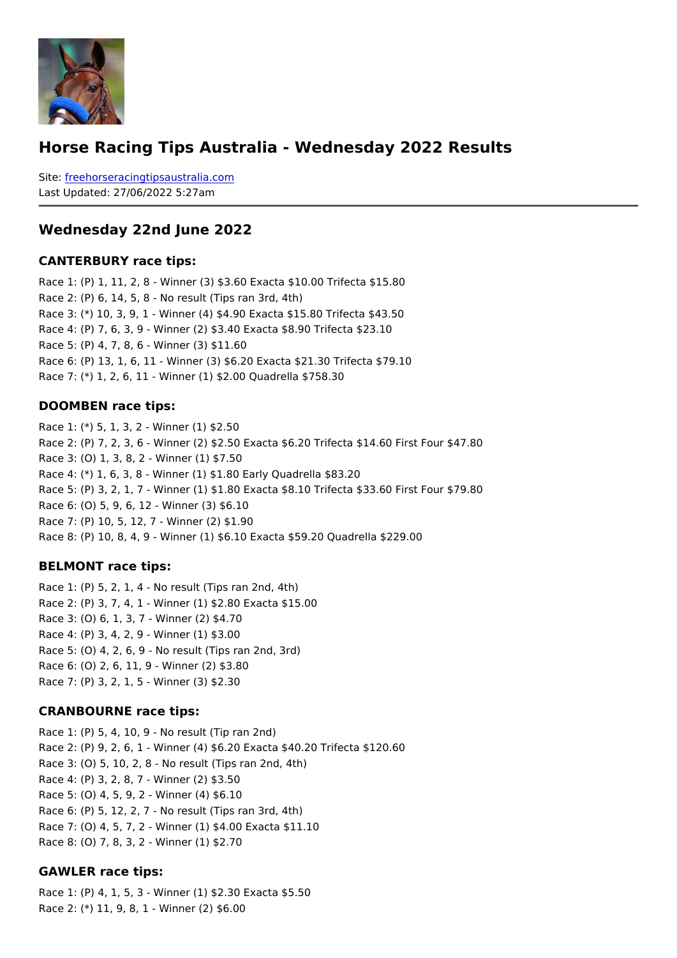#### Horse Racing Tips Australia - Wednesday 2022 Results

Sitefreehorseracingtipsaustralia.com Last Updated: 27/06/2022 5:27am

Wednesday 22nd June 2022

CANTERBURY race tips:

Race 1: (P) 1, 11, 2, 8 - Winner (3) \$3.60 Exacta \$10.00 Trifecta \$15.80 Race 2: (P) 6, 14, 5, 8 - No result (Tips ran 3rd, 4th) Race 3: (\*) 10, 3, 9, 1 - Winner (4) \$4.90 Exacta \$15.80 Trifecta \$43.50 Race 4: (P) 7, 6, 3, 9 - Winner (2) \$3.40 Exacta \$8.90 Trifecta \$23.10 Race 5: (P) 4, 7, 8, 6 - Winner (3) \$11.60 Race 6: (P) 13, 1, 6, 11 - Winner (3) \$6.20 Exacta \$21.30 Trifecta \$79.10 Race 7: (\*) 1, 2, 6, 11 - Winner (1) \$2.00 Quadrella \$758.30

#### DOOMBEN race tips:

Race 1: (\*) 5, 1, 3, 2 - Winner (1) \$2.50 Race 2: (P) 7, 2, 3, 6 - Winner (2) \$2.50 Exacta \$6.20 Trifecta \$14.60 First Four \$47.80 Race 3: (O) 1, 3, 8, 2 - Winner (1) \$7.50 Race 4: (\*) 1, 6, 3, 8 - Winner (1) \$1.80 Early Quadrella \$83.20 Race 5: (P) 3, 2, 1, 7 - Winner (1) \$1.80 Exacta \$8.10 Trifecta \$33.60 First Four \$79.80 Race 6: (O) 5, 9, 6, 12 - Winner (3) \$6.10 Race 7: (P) 10, 5, 12, 7 - Winner (2) \$1.90 Race 8: (P) 10, 8, 4, 9 - Winner (1) \$6.10 Exacta \$59.20 Quadrella \$229.00

BELMONT race tips:

Race 1: (P) 5, 2, 1, 4 - No result (Tips ran 2nd, 4th) Race 2: (P) 3, 7, 4, 1 - Winner (1) \$2.80 Exacta \$15.00 Race 3: (O) 6, 1, 3, 7 - Winner (2) \$4.70 Race 4: (P) 3, 4, 2, 9 - Winner (1) \$3.00 Race 5: (O) 4, 2, 6, 9 - No result (Tips ran 2nd, 3rd) Race 6: (O) 2, 6, 11, 9 - Winner (2) \$3.80 Race 7: (P) 3, 2, 1, 5 - Winner (3) \$2.30

CRANBOURNE race tips:

Race 1: (P) 5, 4, 10, 9 - No result (Tip ran 2nd) Race 2: (P) 9, 2, 6, 1 - Winner (4) \$6.20 Exacta \$40.20 Trifecta \$120.60 Race 3: (O) 5, 10, 2, 8 - No result (Tips ran 2nd, 4th) Race 4: (P) 3, 2, 8, 7 - Winner (2) \$3.50 Race 5: (O) 4, 5, 9, 2 - Winner (4) \$6.10 Race 6: (P) 5, 12, 2, 7 - No result (Tips ran 3rd, 4th) Race 7: (O) 4, 5, 7, 2 - Winner (1) \$4.00 Exacta \$11.10 Race 8: (O) 7, 8, 3, 2 - Winner (1) \$2.70

GAWLER race tips:

Race 1: (P) 4, 1, 5, 3 - Winner (1) \$2.30 Exacta \$5.50 Race 2: (\*) 11, 9, 8, 1 - Winner (2) \$6.00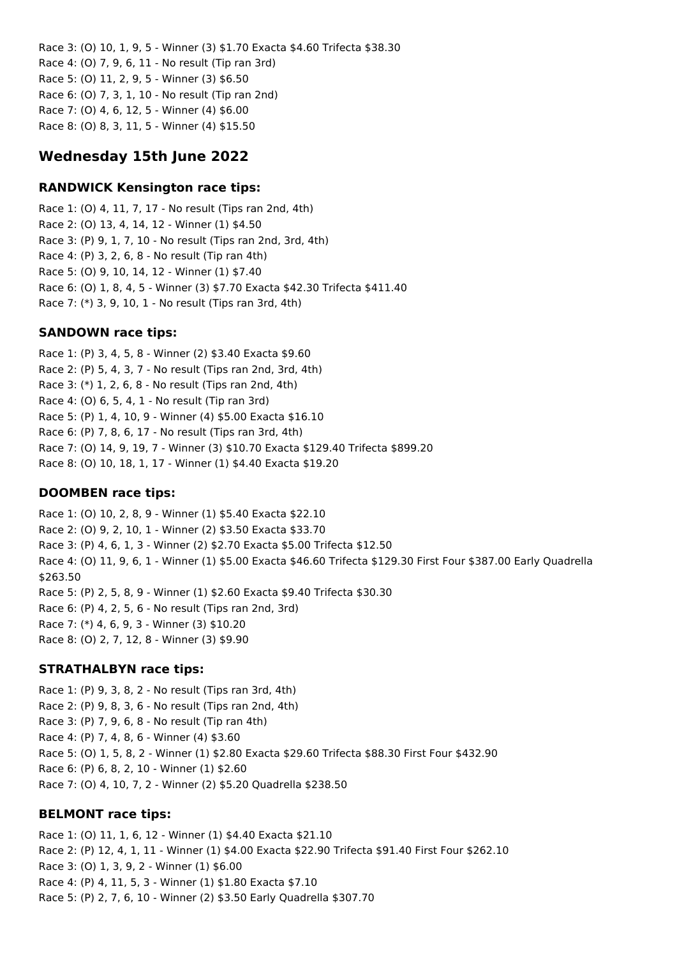Race 3: (O) 10, 1, 9, 5 - Winner (3) \$1.70 Exacta \$4.60 Trifecta \$38.30 Race 4: (O) 7, 9, 6, 11 - No result (Tip ran 3rd) Race 5: (O) 11, 2, 9, 5 - Winner (3) \$6.50 Race 6: (O) 7, 3, 1, 10 - No result (Tip ran 2nd) Race 7: (O) 4, 6, 12, 5 - Winner (4) \$6.00 Race 8: (O) 8, 3, 11, 5 - Winner (4) \$15.50

## **Wednesday 15th June 2022**

#### **RANDWICK Kensington race tips:**

Race 1: (O) 4, 11, 7, 17 - No result (Tips ran 2nd, 4th) Race 2: (O) 13, 4, 14, 12 - Winner (1) \$4.50 Race 3: (P) 9, 1, 7, 10 - No result (Tips ran 2nd, 3rd, 4th) Race 4: (P) 3, 2, 6, 8 - No result (Tip ran 4th) Race 5: (O) 9, 10, 14, 12 - Winner (1) \$7.40 Race 6: (O) 1, 8, 4, 5 - Winner (3) \$7.70 Exacta \$42.30 Trifecta \$411.40 Race 7: (\*) 3, 9, 10, 1 - No result (Tips ran 3rd, 4th)

#### **SANDOWN race tips:**

Race 1: (P) 3, 4, 5, 8 - Winner (2) \$3.40 Exacta \$9.60 Race 2: (P) 5, 4, 3, 7 - No result (Tips ran 2nd, 3rd, 4th) Race 3: (\*) 1, 2, 6, 8 - No result (Tips ran 2nd, 4th) Race 4: (O) 6, 5, 4, 1 - No result (Tip ran 3rd) Race 5: (P) 1, 4, 10, 9 - Winner (4) \$5.00 Exacta \$16.10 Race 6: (P) 7, 8, 6, 17 - No result (Tips ran 3rd, 4th) Race 7: (O) 14, 9, 19, 7 - Winner (3) \$10.70 Exacta \$129.40 Trifecta \$899.20 Race 8: (O) 10, 18, 1, 17 - Winner (1) \$4.40 Exacta \$19.20

#### **DOOMBEN race tips:**

Race 1: (O) 10, 2, 8, 9 - Winner (1) \$5.40 Exacta \$22.10 Race 2: (O) 9, 2, 10, 1 - Winner (2) \$3.50 Exacta \$33.70 Race 3: (P) 4, 6, 1, 3 - Winner (2) \$2.70 Exacta \$5.00 Trifecta \$12.50 Race 4: (O) 11, 9, 6, 1 - Winner (1) \$5.00 Exacta \$46.60 Trifecta \$129.30 First Four \$387.00 Early Quadrella \$263.50 Race 5: (P) 2, 5, 8, 9 - Winner (1) \$2.60 Exacta \$9.40 Trifecta \$30.30 Race 6: (P) 4, 2, 5, 6 - No result (Tips ran 2nd, 3rd) Race 7: (\*) 4, 6, 9, 3 - Winner (3) \$10.20 Race 8: (O) 2, 7, 12, 8 - Winner (3) \$9.90

#### **STRATHALBYN race tips:**

Race 1: (P) 9, 3, 8, 2 - No result (Tips ran 3rd, 4th) Race 2: (P) 9, 8, 3, 6 - No result (Tips ran 2nd, 4th) Race 3: (P) 7, 9, 6, 8 - No result (Tip ran 4th) Race 4: (P) 7, 4, 8, 6 - Winner (4) \$3.60 Race 5: (O) 1, 5, 8, 2 - Winner (1) \$2.80 Exacta \$29.60 Trifecta \$88.30 First Four \$432.90 Race 6: (P) 6, 8, 2, 10 - Winner (1) \$2.60 Race 7: (O) 4, 10, 7, 2 - Winner (2) \$5.20 Quadrella \$238.50

#### **BELMONT race tips:**

Race 1: (O) 11, 1, 6, 12 - Winner (1) \$4.40 Exacta \$21.10 Race 2: (P) 12, 4, 1, 11 - Winner (1) \$4.00 Exacta \$22.90 Trifecta \$91.40 First Four \$262.10 Race 3: (O) 1, 3, 9, 2 - Winner (1) \$6.00 Race 4: (P) 4, 11, 5, 3 - Winner (1) \$1.80 Exacta \$7.10 Race 5: (P) 2, 7, 6, 10 - Winner (2) \$3.50 Early Quadrella \$307.70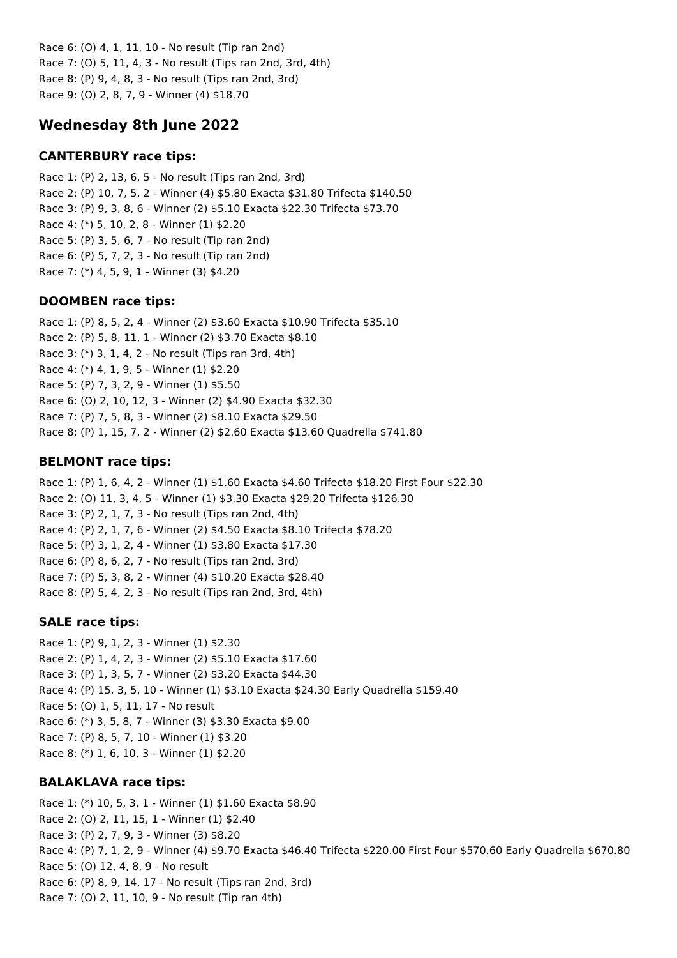Race 6: (O) 4, 1, 11, 10 - No result (Tip ran 2nd) Race 7: (O) 5, 11, 4, 3 - No result (Tips ran 2nd, 3rd, 4th) Race 8: (P) 9, 4, 8, 3 - No result (Tips ran 2nd, 3rd) Race 9: (O) 2, 8, 7, 9 - Winner (4) \$18.70

## **Wednesday 8th June 2022**

## **CANTERBURY race tips:**

Race 1: (P) 2, 13, 6, 5 - No result (Tips ran 2nd, 3rd) Race 2: (P) 10, 7, 5, 2 - Winner (4) \$5.80 Exacta \$31.80 Trifecta \$140.50 Race 3: (P) 9, 3, 8, 6 - Winner (2) \$5.10 Exacta \$22.30 Trifecta \$73.70 Race 4: (\*) 5, 10, 2, 8 - Winner (1) \$2.20 Race 5: (P) 3, 5, 6, 7 - No result (Tip ran 2nd) Race 6: (P) 5, 7, 2, 3 - No result (Tip ran 2nd) Race 7: (\*) 4, 5, 9, 1 - Winner (3) \$4.20

## **DOOMBEN race tips:**

Race 1: (P) 8, 5, 2, 4 - Winner (2) \$3.60 Exacta \$10.90 Trifecta \$35.10 Race 2: (P) 5, 8, 11, 1 - Winner (2) \$3.70 Exacta \$8.10 Race 3: (\*) 3, 1, 4, 2 - No result (Tips ran 3rd, 4th) Race 4: (\*) 4, 1, 9, 5 - Winner (1) \$2.20 Race 5: (P) 7, 3, 2, 9 - Winner (1) \$5.50 Race 6: (O) 2, 10, 12, 3 - Winner (2) \$4.90 Exacta \$32.30 Race 7: (P) 7, 5, 8, 3 - Winner (2) \$8.10 Exacta \$29.50 Race 8: (P) 1, 15, 7, 2 - Winner (2) \$2.60 Exacta \$13.60 Quadrella \$741.80

## **BELMONT race tips:**

Race 1: (P) 1, 6, 4, 2 - Winner (1) \$1.60 Exacta \$4.60 Trifecta \$18.20 First Four \$22.30 Race 2: (O) 11, 3, 4, 5 - Winner (1) \$3.30 Exacta \$29.20 Trifecta \$126.30 Race 3: (P) 2, 1, 7, 3 - No result (Tips ran 2nd, 4th) Race 4: (P) 2, 1, 7, 6 - Winner (2) \$4.50 Exacta \$8.10 Trifecta \$78.20 Race 5: (P) 3, 1, 2, 4 - Winner (1) \$3.80 Exacta \$17.30 Race 6: (P) 8, 6, 2, 7 - No result (Tips ran 2nd, 3rd) Race 7: (P) 5, 3, 8, 2 - Winner (4) \$10.20 Exacta \$28.40 Race 8: (P) 5, 4, 2, 3 - No result (Tips ran 2nd, 3rd, 4th)

## **SALE race tips:**

Race 1: (P) 9, 1, 2, 3 - Winner (1) \$2.30 Race 2: (P) 1, 4, 2, 3 - Winner (2) \$5.10 Exacta \$17.60 Race 3: (P) 1, 3, 5, 7 - Winner (2) \$3.20 Exacta \$44.30 Race 4: (P) 15, 3, 5, 10 - Winner (1) \$3.10 Exacta \$24.30 Early Quadrella \$159.40 Race 5: (O) 1, 5, 11, 17 - No result Race 6: (\*) 3, 5, 8, 7 - Winner (3) \$3.30 Exacta \$9.00 Race 7: (P) 8, 5, 7, 10 - Winner (1) \$3.20 Race 8: (\*) 1, 6, 10, 3 - Winner (1) \$2.20

## **BALAKLAVA race tips:**

Race 1: (\*) 10, 5, 3, 1 - Winner (1) \$1.60 Exacta \$8.90 Race 2: (O) 2, 11, 15, 1 - Winner (1) \$2.40 Race 3: (P) 2, 7, 9, 3 - Winner (3) \$8.20 Race 4: (P) 7, 1, 2, 9 - Winner (4) \$9.70 Exacta \$46.40 Trifecta \$220.00 First Four \$570.60 Early Quadrella \$670.80 Race 5: (O) 12, 4, 8, 9 - No result Race 6: (P) 8, 9, 14, 17 - No result (Tips ran 2nd, 3rd) Race 7: (O) 2, 11, 10, 9 - No result (Tip ran 4th)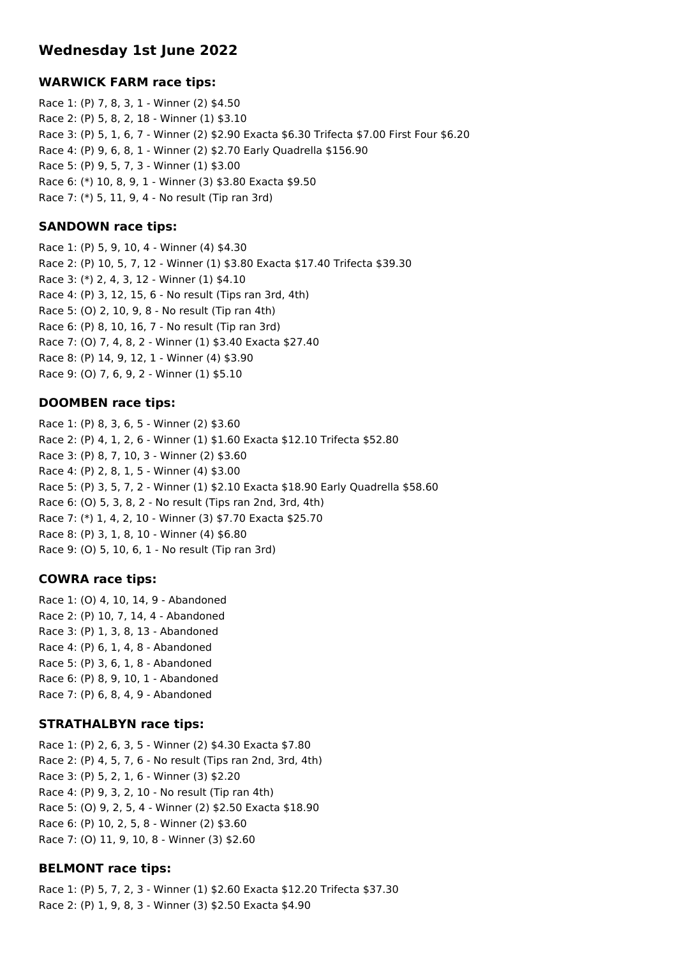## **Wednesday 1st June 2022**

#### **WARWICK FARM race tips:**

Race 1: (P) 7, 8, 3, 1 - Winner (2) \$4.50 Race 2: (P) 5, 8, 2, 18 - Winner (1) \$3.10 Race 3: (P) 5, 1, 6, 7 - Winner (2) \$2.90 Exacta \$6.30 Trifecta \$7.00 First Four \$6.20 Race 4: (P) 9, 6, 8, 1 - Winner (2) \$2.70 Early Quadrella \$156.90 Race 5: (P) 9, 5, 7, 3 - Winner (1) \$3.00 Race 6: (\*) 10, 8, 9, 1 - Winner (3) \$3.80 Exacta \$9.50 Race 7: (\*) 5, 11, 9, 4 - No result (Tip ran 3rd)

### **SANDOWN race tips:**

Race 1: (P) 5, 9, 10, 4 - Winner (4) \$4.30 Race 2: (P) 10, 5, 7, 12 - Winner (1) \$3.80 Exacta \$17.40 Trifecta \$39.30 Race 3: (\*) 2, 4, 3, 12 - Winner (1) \$4.10 Race 4: (P) 3, 12, 15, 6 - No result (Tips ran 3rd, 4th) Race 5: (O) 2, 10, 9, 8 - No result (Tip ran 4th) Race 6: (P) 8, 10, 16, 7 - No result (Tip ran 3rd) Race 7: (O) 7, 4, 8, 2 - Winner (1) \$3.40 Exacta \$27.40 Race 8: (P) 14, 9, 12, 1 - Winner (4) \$3.90 Race 9: (O) 7, 6, 9, 2 - Winner (1) \$5.10

#### **DOOMBEN race tips:**

Race 1: (P) 8, 3, 6, 5 - Winner (2) \$3.60 Race 2: (P) 4, 1, 2, 6 - Winner (1) \$1.60 Exacta \$12.10 Trifecta \$52.80 Race 3: (P) 8, 7, 10, 3 - Winner (2) \$3.60 Race 4: (P) 2, 8, 1, 5 - Winner (4) \$3.00 Race 5: (P) 3, 5, 7, 2 - Winner (1) \$2.10 Exacta \$18.90 Early Quadrella \$58.60 Race 6: (O) 5, 3, 8, 2 - No result (Tips ran 2nd, 3rd, 4th) Race 7: (\*) 1, 4, 2, 10 - Winner (3) \$7.70 Exacta \$25.70 Race 8: (P) 3, 1, 8, 10 - Winner (4) \$6.80 Race 9: (O) 5, 10, 6, 1 - No result (Tip ran 3rd)

## **COWRA race tips:**

Race 1: (O) 4, 10, 14, 9 - Abandoned Race 2: (P) 10, 7, 14, 4 - Abandoned Race 3: (P) 1, 3, 8, 13 - Abandoned Race 4: (P) 6, 1, 4, 8 - Abandoned Race 5: (P) 3, 6, 1, 8 - Abandoned Race 6: (P) 8, 9, 10, 1 - Abandoned Race 7: (P) 6, 8, 4, 9 - Abandoned

#### **STRATHALBYN race tips:**

Race 1: (P) 2, 6, 3, 5 - Winner (2) \$4.30 Exacta \$7.80 Race 2: (P) 4, 5, 7, 6 - No result (Tips ran 2nd, 3rd, 4th) Race 3: (P) 5, 2, 1, 6 - Winner (3) \$2.20 Race 4: (P) 9, 3, 2, 10 - No result (Tip ran 4th) Race 5: (O) 9, 2, 5, 4 - Winner (2) \$2.50 Exacta \$18.90 Race 6: (P) 10, 2, 5, 8 - Winner (2) \$3.60 Race 7: (O) 11, 9, 10, 8 - Winner (3) \$2.60

## **BELMONT race tips:**

Race 1: (P) 5, 7, 2, 3 - Winner (1) \$2.60 Exacta \$12.20 Trifecta \$37.30 Race 2: (P) 1, 9, 8, 3 - Winner (3) \$2.50 Exacta \$4.90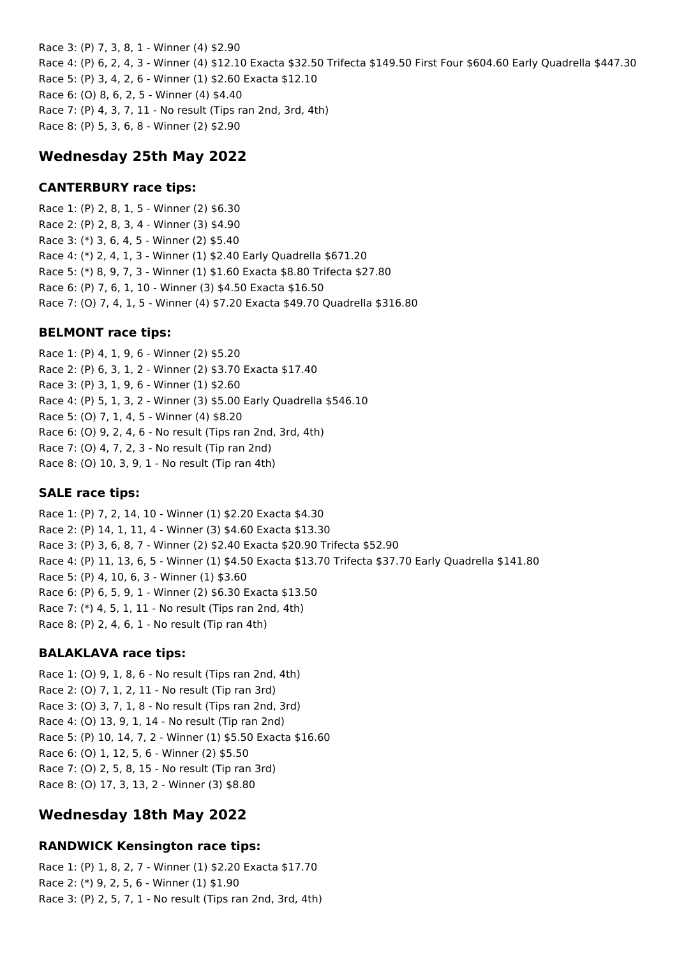Race 3: (P) 7, 3, 8, 1 - Winner (4) \$2.90 Race 4: (P) 6, 2, 4, 3 - Winner (4) \$12.10 Exacta \$32.50 Trifecta \$149.50 First Four \$604.60 Early Quadrella \$447.30 Race 5: (P) 3, 4, 2, 6 - Winner (1) \$2.60 Exacta \$12.10 Race 6: (O) 8, 6, 2, 5 - Winner (4) \$4.40 Race 7: (P) 4, 3, 7, 11 - No result (Tips ran 2nd, 3rd, 4th) Race 8: (P) 5, 3, 6, 8 - Winner (2) \$2.90

## **Wednesday 25th May 2022**

## **CANTERBURY race tips:**

Race 1: (P) 2, 8, 1, 5 - Winner (2) \$6.30 Race 2: (P) 2, 8, 3, 4 - Winner (3) \$4.90 Race 3: (\*) 3, 6, 4, 5 - Winner (2) \$5.40 Race 4: (\*) 2, 4, 1, 3 - Winner (1) \$2.40 Early Quadrella \$671.20 Race 5: (\*) 8, 9, 7, 3 - Winner (1) \$1.60 Exacta \$8.80 Trifecta \$27.80 Race 6: (P) 7, 6, 1, 10 - Winner (3) \$4.50 Exacta \$16.50 Race 7: (O) 7, 4, 1, 5 - Winner (4) \$7.20 Exacta \$49.70 Quadrella \$316.80

#### **BELMONT race tips:**

Race 1: (P) 4, 1, 9, 6 - Winner (2) \$5.20 Race 2: (P) 6, 3, 1, 2 - Winner (2) \$3.70 Exacta \$17.40 Race 3: (P) 3, 1, 9, 6 - Winner (1) \$2.60 Race 4: (P) 5, 1, 3, 2 - Winner (3) \$5.00 Early Quadrella \$546.10 Race 5: (O) 7, 1, 4, 5 - Winner (4) \$8.20 Race 6: (O) 9, 2, 4, 6 - No result (Tips ran 2nd, 3rd, 4th) Race 7: (O) 4, 7, 2, 3 - No result (Tip ran 2nd) Race 8: (O) 10, 3, 9, 1 - No result (Tip ran 4th)

#### **SALE race tips:**

Race 1: (P) 7, 2, 14, 10 - Winner (1) \$2.20 Exacta \$4.30 Race 2: (P) 14, 1, 11, 4 - Winner (3) \$4.60 Exacta \$13.30 Race 3: (P) 3, 6, 8, 7 - Winner (2) \$2.40 Exacta \$20.90 Trifecta \$52.90 Race 4: (P) 11, 13, 6, 5 - Winner (1) \$4.50 Exacta \$13.70 Trifecta \$37.70 Early Quadrella \$141.80 Race 5: (P) 4, 10, 6, 3 - Winner (1) \$3.60 Race 6: (P) 6, 5, 9, 1 - Winner (2) \$6.30 Exacta \$13.50 Race 7: (\*) 4, 5, 1, 11 - No result (Tips ran 2nd, 4th) Race 8: (P) 2, 4, 6, 1 - No result (Tip ran 4th)

#### **BALAKLAVA race tips:**

Race 1: (O) 9, 1, 8, 6 - No result (Tips ran 2nd, 4th) Race 2: (O) 7, 1, 2, 11 - No result (Tip ran 3rd) Race 3: (O) 3, 7, 1, 8 - No result (Tips ran 2nd, 3rd) Race 4: (O) 13, 9, 1, 14 - No result (Tip ran 2nd) Race 5: (P) 10, 14, 7, 2 - Winner (1) \$5.50 Exacta \$16.60 Race 6: (O) 1, 12, 5, 6 - Winner (2) \$5.50 Race 7: (O) 2, 5, 8, 15 - No result (Tip ran 3rd) Race 8: (O) 17, 3, 13, 2 - Winner (3) \$8.80

## **Wednesday 18th May 2022**

## **RANDWICK Kensington race tips:**

Race 1: (P) 1, 8, 2, 7 - Winner (1) \$2.20 Exacta \$17.70 Race 2: (\*) 9, 2, 5, 6 - Winner (1) \$1.90 Race 3: (P) 2, 5, 7, 1 - No result (Tips ran 2nd, 3rd, 4th)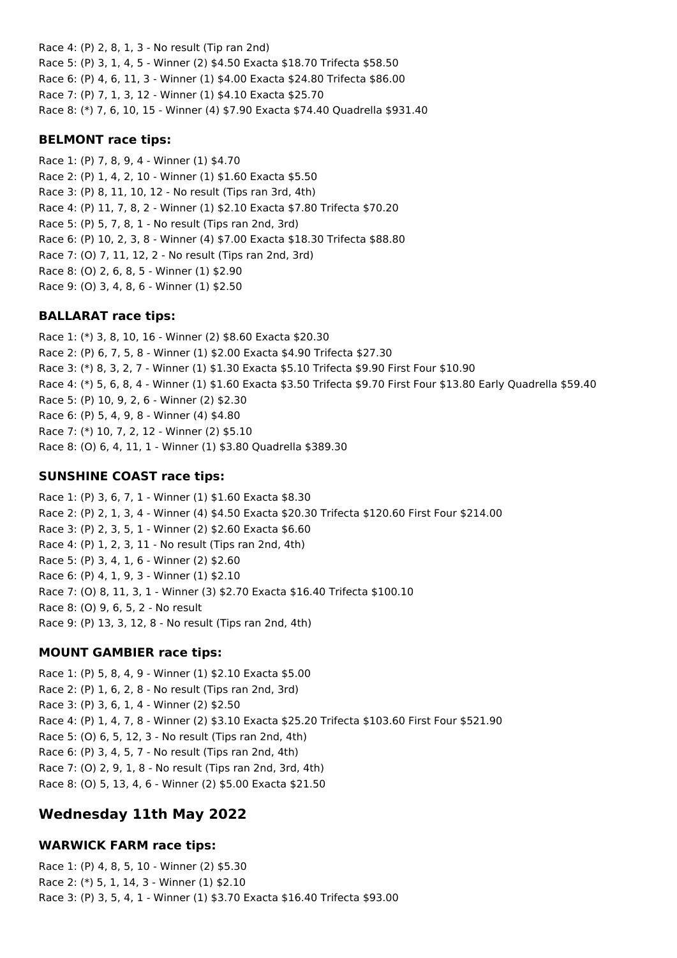Race 4: (P) 2, 8, 1, 3 - No result (Tip ran 2nd) Race 5: (P) 3, 1, 4, 5 - Winner (2) \$4.50 Exacta \$18.70 Trifecta \$58.50 Race 6: (P) 4, 6, 11, 3 - Winner (1) \$4.00 Exacta \$24.80 Trifecta \$86.00 Race 7: (P) 7, 1, 3, 12 - Winner (1) \$4.10 Exacta \$25.70 Race 8: (\*) 7, 6, 10, 15 - Winner (4) \$7.90 Exacta \$74.40 Quadrella \$931.40

### **BELMONT race tips:**

Race 1: (P) 7, 8, 9, 4 - Winner (1) \$4.70 Race 2: (P) 1, 4, 2, 10 - Winner (1) \$1.60 Exacta \$5.50 Race 3: (P) 8, 11, 10, 12 - No result (Tips ran 3rd, 4th) Race 4: (P) 11, 7, 8, 2 - Winner (1) \$2.10 Exacta \$7.80 Trifecta \$70.20 Race 5: (P) 5, 7, 8, 1 - No result (Tips ran 2nd, 3rd) Race 6: (P) 10, 2, 3, 8 - Winner (4) \$7.00 Exacta \$18.30 Trifecta \$88.80 Race 7: (O) 7, 11, 12, 2 - No result (Tips ran 2nd, 3rd) Race 8: (O) 2, 6, 8, 5 - Winner (1) \$2.90 Race 9: (O) 3, 4, 8, 6 - Winner (1) \$2.50

## **BALLARAT race tips:**

Race 1: (\*) 3, 8, 10, 16 - Winner (2) \$8.60 Exacta \$20.30 Race 2: (P) 6, 7, 5, 8 - Winner (1) \$2.00 Exacta \$4.90 Trifecta \$27.30 Race 3: (\*) 8, 3, 2, 7 - Winner (1) \$1.30 Exacta \$5.10 Trifecta \$9.90 First Four \$10.90 Race 4: (\*) 5, 6, 8, 4 - Winner (1) \$1.60 Exacta \$3.50 Trifecta \$9.70 First Four \$13.80 Early Quadrella \$59.40 Race 5: (P) 10, 9, 2, 6 - Winner (2) \$2.30 Race 6: (P) 5, 4, 9, 8 - Winner (4) \$4.80 Race 7: (\*) 10, 7, 2, 12 - Winner (2) \$5.10 Race 8: (O) 6, 4, 11, 1 - Winner (1) \$3.80 Quadrella \$389.30

## **SUNSHINE COAST race tips:**

Race 1: (P) 3, 6, 7, 1 - Winner (1) \$1.60 Exacta \$8.30 Race 2: (P) 2, 1, 3, 4 - Winner (4) \$4.50 Exacta \$20.30 Trifecta \$120.60 First Four \$214.00 Race 3: (P) 2, 3, 5, 1 - Winner (2) \$2.60 Exacta \$6.60 Race 4: (P) 1, 2, 3, 11 - No result (Tips ran 2nd, 4th) Race 5: (P) 3, 4, 1, 6 - Winner (2) \$2.60 Race 6: (P) 4, 1, 9, 3 - Winner (1) \$2.10 Race 7: (O) 8, 11, 3, 1 - Winner (3) \$2.70 Exacta \$16.40 Trifecta \$100.10 Race 8: (O) 9, 6, 5, 2 - No result Race 9: (P) 13, 3, 12, 8 - No result (Tips ran 2nd, 4th)

## **MOUNT GAMBIER race tips:**

Race 1: (P) 5, 8, 4, 9 - Winner (1) \$2.10 Exacta \$5.00 Race 2: (P) 1, 6, 2, 8 - No result (Tips ran 2nd, 3rd) Race 3: (P) 3, 6, 1, 4 - Winner (2) \$2.50 Race 4: (P) 1, 4, 7, 8 - Winner (2) \$3.10 Exacta \$25.20 Trifecta \$103.60 First Four \$521.90 Race 5: (O) 6, 5, 12, 3 - No result (Tips ran 2nd, 4th) Race 6: (P) 3, 4, 5, 7 - No result (Tips ran 2nd, 4th) Race 7: (O) 2, 9, 1, 8 - No result (Tips ran 2nd, 3rd, 4th) Race 8: (O) 5, 13, 4, 6 - Winner (2) \$5.00 Exacta \$21.50

## **Wednesday 11th May 2022**

## **WARWICK FARM race tips:**

Race 1: (P) 4, 8, 5, 10 - Winner (2) \$5.30 Race 2: (\*) 5, 1, 14, 3 - Winner (1) \$2.10 Race 3: (P) 3, 5, 4, 1 - Winner (1) \$3.70 Exacta \$16.40 Trifecta \$93.00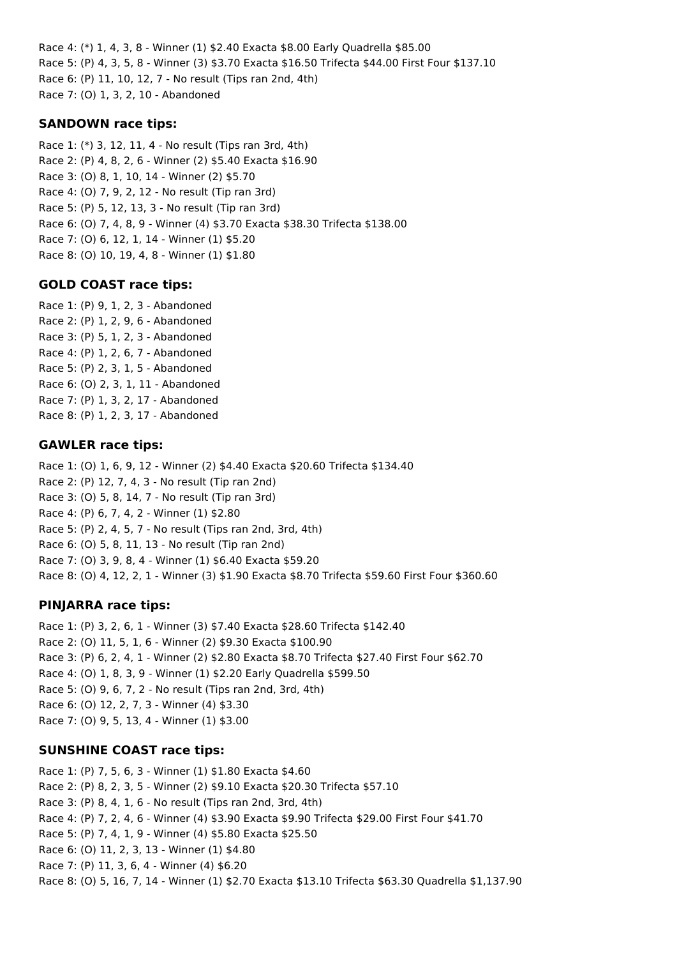Race 4: (\*) 1, 4, 3, 8 - Winner (1) \$2.40 Exacta \$8.00 Early Quadrella \$85.00 Race 5: (P) 4, 3, 5, 8 - Winner (3) \$3.70 Exacta \$16.50 Trifecta \$44.00 First Four \$137.10 Race 6: (P) 11, 10, 12, 7 - No result (Tips ran 2nd, 4th) Race 7: (O) 1, 3, 2, 10 - Abandoned

### **SANDOWN race tips:**

Race 1: (\*) 3, 12, 11, 4 - No result (Tips ran 3rd, 4th) Race 2: (P) 4, 8, 2, 6 - Winner (2) \$5.40 Exacta \$16.90 Race 3: (O) 8, 1, 10, 14 - Winner (2) \$5.70 Race 4: (O) 7, 9, 2, 12 - No result (Tip ran 3rd) Race 5: (P) 5, 12, 13, 3 - No result (Tip ran 3rd) Race 6: (O) 7, 4, 8, 9 - Winner (4) \$3.70 Exacta \$38.30 Trifecta \$138.00 Race 7: (O) 6, 12, 1, 14 - Winner (1) \$5.20 Race 8: (O) 10, 19, 4, 8 - Winner (1) \$1.80

#### **GOLD COAST race tips:**

Race 1: (P) 9, 1, 2, 3 - Abandoned Race 2: (P) 1, 2, 9, 6 - Abandoned Race 3: (P) 5, 1, 2, 3 - Abandoned Race 4: (P) 1, 2, 6, 7 - Abandoned Race 5: (P) 2, 3, 1, 5 - Abandoned Race 6: (O) 2, 3, 1, 11 - Abandoned Race 7: (P) 1, 3, 2, 17 - Abandoned Race 8: (P) 1, 2, 3, 17 - Abandoned

#### **GAWLER race tips:**

Race 1: (O) 1, 6, 9, 12 - Winner (2) \$4.40 Exacta \$20.60 Trifecta \$134.40 Race 2: (P) 12, 7, 4, 3 - No result (Tip ran 2nd) Race 3: (O) 5, 8, 14, 7 - No result (Tip ran 3rd) Race 4: (P) 6, 7, 4, 2 - Winner (1) \$2.80 Race 5: (P) 2, 4, 5, 7 - No result (Tips ran 2nd, 3rd, 4th) Race 6: (O) 5, 8, 11, 13 - No result (Tip ran 2nd) Race 7: (O) 3, 9, 8, 4 - Winner (1) \$6.40 Exacta \$59.20 Race 8: (O) 4, 12, 2, 1 - Winner (3) \$1.90 Exacta \$8.70 Trifecta \$59.60 First Four \$360.60

## **PINJARRA race tips:**

Race 1: (P) 3, 2, 6, 1 - Winner (3) \$7.40 Exacta \$28.60 Trifecta \$142.40 Race 2: (O) 11, 5, 1, 6 - Winner (2) \$9.30 Exacta \$100.90 Race 3: (P) 6, 2, 4, 1 - Winner (2) \$2.80 Exacta \$8.70 Trifecta \$27.40 First Four \$62.70 Race 4: (O) 1, 8, 3, 9 - Winner (1) \$2.20 Early Quadrella \$599.50 Race 5: (O) 9, 6, 7, 2 - No result (Tips ran 2nd, 3rd, 4th) Race 6: (O) 12, 2, 7, 3 - Winner (4) \$3.30 Race 7: (O) 9, 5, 13, 4 - Winner (1) \$3.00

#### **SUNSHINE COAST race tips:**

Race 1: (P) 7, 5, 6, 3 - Winner (1) \$1.80 Exacta \$4.60 Race 2: (P) 8, 2, 3, 5 - Winner (2) \$9.10 Exacta \$20.30 Trifecta \$57.10 Race 3: (P) 8, 4, 1, 6 - No result (Tips ran 2nd, 3rd, 4th) Race 4: (P) 7, 2, 4, 6 - Winner (4) \$3.90 Exacta \$9.90 Trifecta \$29.00 First Four \$41.70 Race 5: (P) 7, 4, 1, 9 - Winner (4) \$5.80 Exacta \$25.50 Race 6: (O) 11, 2, 3, 13 - Winner (1) \$4.80 Race 7: (P) 11, 3, 6, 4 - Winner (4) \$6.20 Race 8: (O) 5, 16, 7, 14 - Winner (1) \$2.70 Exacta \$13.10 Trifecta \$63.30 Quadrella \$1,137.90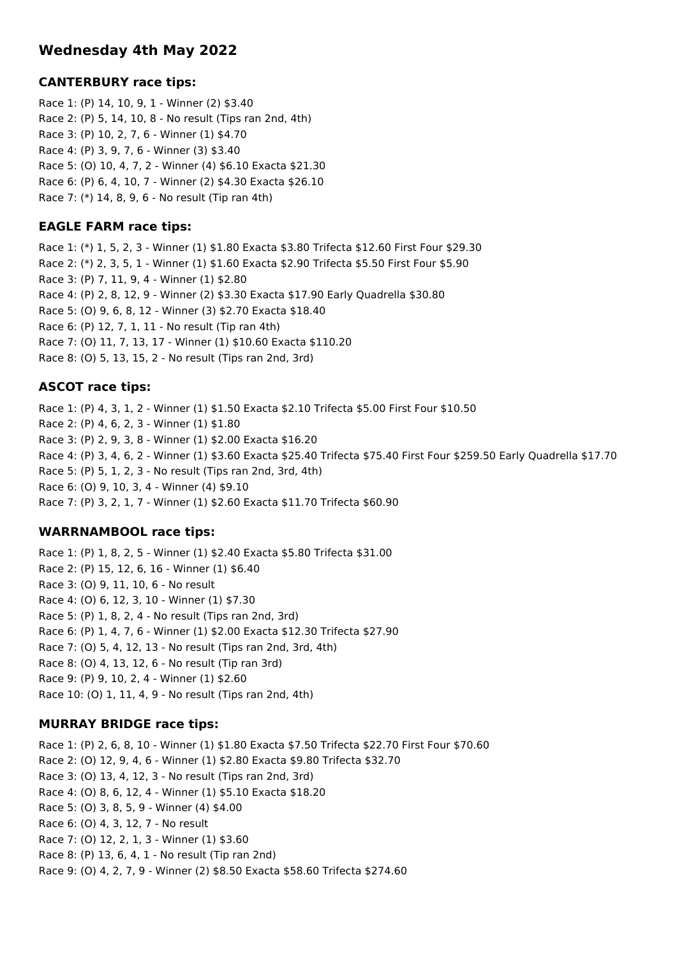## **Wednesday 4th May 2022**

## **CANTERBURY race tips:**

Race 1: (P) 14, 10, 9, 1 - Winner (2) \$3.40 Race 2: (P) 5, 14, 10, 8 - No result (Tips ran 2nd, 4th) Race 3: (P) 10, 2, 7, 6 - Winner (1) \$4.70 Race 4: (P) 3, 9, 7, 6 - Winner (3) \$3.40 Race 5: (O) 10, 4, 7, 2 - Winner (4) \$6.10 Exacta \$21.30 Race 6: (P) 6, 4, 10, 7 - Winner (2) \$4.30 Exacta \$26.10 Race 7: (\*) 14, 8, 9, 6 - No result (Tip ran 4th)

## **EAGLE FARM race tips:**

Race 1: (\*) 1, 5, 2, 3 - Winner (1) \$1.80 Exacta \$3.80 Trifecta \$12.60 First Four \$29.30 Race 2: (\*) 2, 3, 5, 1 - Winner (1) \$1.60 Exacta \$2.90 Trifecta \$5.50 First Four \$5.90 Race 3: (P) 7, 11, 9, 4 - Winner (1) \$2.80 Race 4: (P) 2, 8, 12, 9 - Winner (2) \$3.30 Exacta \$17.90 Early Quadrella \$30.80 Race 5: (O) 9, 6, 8, 12 - Winner (3) \$2.70 Exacta \$18.40 Race 6: (P) 12, 7, 1, 11 - No result (Tip ran 4th) Race 7: (O) 11, 7, 13, 17 - Winner (1) \$10.60 Exacta \$110.20 Race 8: (O) 5, 13, 15, 2 - No result (Tips ran 2nd, 3rd)

#### **ASCOT race tips:**

Race 1: (P) 4, 3, 1, 2 - Winner (1) \$1.50 Exacta \$2.10 Trifecta \$5.00 First Four \$10.50 Race 2: (P) 4, 6, 2, 3 - Winner (1) \$1.80 Race 3: (P) 2, 9, 3, 8 - Winner (1) \$2.00 Exacta \$16.20 Race 4: (P) 3, 4, 6, 2 - Winner (1) \$3.60 Exacta \$25.40 Trifecta \$75.40 First Four \$259.50 Early Quadrella \$17.70 Race 5: (P) 5, 1, 2, 3 - No result (Tips ran 2nd, 3rd, 4th) Race 6: (O) 9, 10, 3, 4 - Winner (4) \$9.10 Race 7: (P) 3, 2, 1, 7 - Winner (1) \$2.60 Exacta \$11.70 Trifecta \$60.90

#### **WARRNAMBOOL race tips:**

Race 1: (P) 1, 8, 2, 5 - Winner (1) \$2.40 Exacta \$5.80 Trifecta \$31.00 Race 2: (P) 15, 12, 6, 16 - Winner (1) \$6.40 Race 3: (O) 9, 11, 10, 6 - No result Race 4: (O) 6, 12, 3, 10 - Winner (1) \$7.30 Race 5: (P) 1, 8, 2, 4 - No result (Tips ran 2nd, 3rd) Race 6: (P) 1, 4, 7, 6 - Winner (1) \$2.00 Exacta \$12.30 Trifecta \$27.90 Race 7: (O) 5, 4, 12, 13 - No result (Tips ran 2nd, 3rd, 4th) Race 8: (O) 4, 13, 12, 6 - No result (Tip ran 3rd) Race 9: (P) 9, 10, 2, 4 - Winner (1) \$2.60 Race 10: (O) 1, 11, 4, 9 - No result (Tips ran 2nd, 4th)

## **MURRAY BRIDGE race tips:**

Race 1: (P) 2, 6, 8, 10 - Winner (1) \$1.80 Exacta \$7.50 Trifecta \$22.70 First Four \$70.60 Race 2: (O) 12, 9, 4, 6 - Winner (1) \$2.80 Exacta \$9.80 Trifecta \$32.70 Race 3: (O) 13, 4, 12, 3 - No result (Tips ran 2nd, 3rd) Race 4: (O) 8, 6, 12, 4 - Winner (1) \$5.10 Exacta \$18.20 Race 5: (O) 3, 8, 5, 9 - Winner (4) \$4.00 Race 6: (O) 4, 3, 12, 7 - No result Race 7: (O) 12, 2, 1, 3 - Winner (1) \$3.60 Race 8: (P) 13, 6, 4, 1 - No result (Tip ran 2nd) Race 9: (O) 4, 2, 7, 9 - Winner (2) \$8.50 Exacta \$58.60 Trifecta \$274.60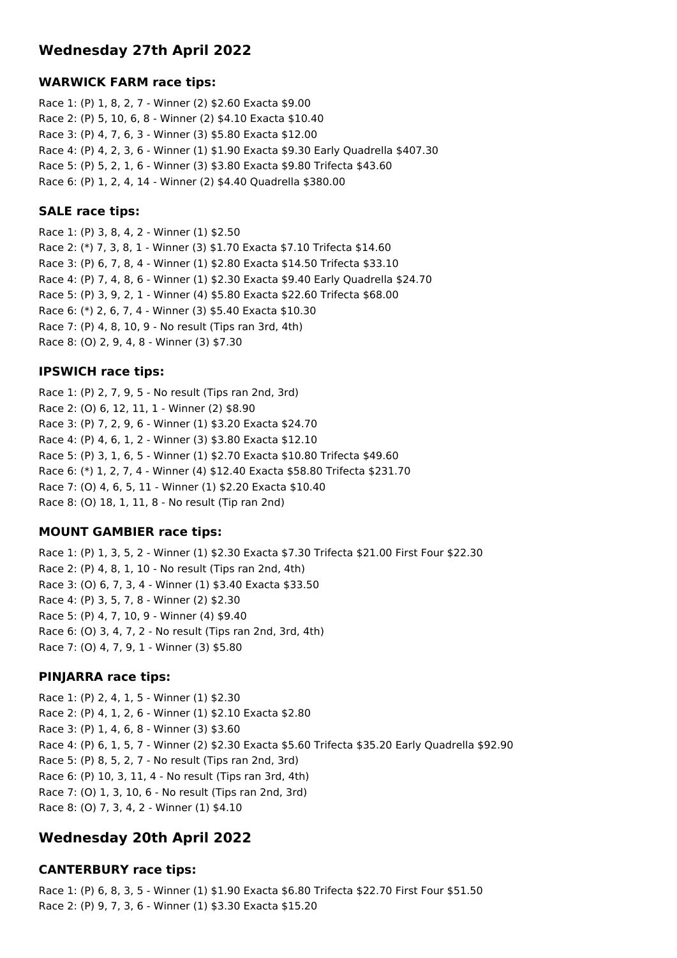## **Wednesday 27th April 2022**

## **WARWICK FARM race tips:**

Race 1: (P) 1, 8, 2, 7 - Winner (2) \$2.60 Exacta \$9.00 Race 2: (P) 5, 10, 6, 8 - Winner (2) \$4.10 Exacta \$10.40 Race 3: (P) 4, 7, 6, 3 - Winner (3) \$5.80 Exacta \$12.00 Race 4: (P) 4, 2, 3, 6 - Winner (1) \$1.90 Exacta \$9.30 Early Quadrella \$407.30 Race 5: (P) 5, 2, 1, 6 - Winner (3) \$3.80 Exacta \$9.80 Trifecta \$43.60 Race 6: (P) 1, 2, 4, 14 - Winner (2) \$4.40 Quadrella \$380.00

## **SALE race tips:**

Race 1: (P) 3, 8, 4, 2 - Winner (1) \$2.50 Race 2: (\*) 7, 3, 8, 1 - Winner (3) \$1.70 Exacta \$7.10 Trifecta \$14.60 Race 3: (P) 6, 7, 8, 4 - Winner (1) \$2.80 Exacta \$14.50 Trifecta \$33.10 Race 4: (P) 7, 4, 8, 6 - Winner (1) \$2.30 Exacta \$9.40 Early Quadrella \$24.70 Race 5: (P) 3, 9, 2, 1 - Winner (4) \$5.80 Exacta \$22.60 Trifecta \$68.00 Race 6: (\*) 2, 6, 7, 4 - Winner (3) \$5.40 Exacta \$10.30 Race 7: (P) 4, 8, 10, 9 - No result (Tips ran 3rd, 4th) Race 8: (O) 2, 9, 4, 8 - Winner (3) \$7.30

## **IPSWICH race tips:**

Race 1: (P) 2, 7, 9, 5 - No result (Tips ran 2nd, 3rd) Race 2: (O) 6, 12, 11, 1 - Winner (2) \$8.90 Race 3: (P) 7, 2, 9, 6 - Winner (1) \$3.20 Exacta \$24.70 Race 4: (P) 4, 6, 1, 2 - Winner (3) \$3.80 Exacta \$12.10 Race 5: (P) 3, 1, 6, 5 - Winner (1) \$2.70 Exacta \$10.80 Trifecta \$49.60 Race 6: (\*) 1, 2, 7, 4 - Winner (4) \$12.40 Exacta \$58.80 Trifecta \$231.70 Race 7: (O) 4, 6, 5, 11 - Winner (1) \$2.20 Exacta \$10.40 Race 8: (O) 18, 1, 11, 8 - No result (Tip ran 2nd)

## **MOUNT GAMBIER race tips:**

Race 1: (P) 1, 3, 5, 2 - Winner (1) \$2.30 Exacta \$7.30 Trifecta \$21.00 First Four \$22.30 Race 2: (P) 4, 8, 1, 10 - No result (Tips ran 2nd, 4th) Race 3: (O) 6, 7, 3, 4 - Winner (1) \$3.40 Exacta \$33.50 Race 4: (P) 3, 5, 7, 8 - Winner (2) \$2.30 Race 5: (P) 4, 7, 10, 9 - Winner (4) \$9.40 Race 6: (O) 3, 4, 7, 2 - No result (Tips ran 2nd, 3rd, 4th) Race 7: (O) 4, 7, 9, 1 - Winner (3) \$5.80

## **PINJARRA race tips:**

Race 1: (P) 2, 4, 1, 5 - Winner (1) \$2.30 Race 2: (P) 4, 1, 2, 6 - Winner (1) \$2.10 Exacta \$2.80 Race 3: (P) 1, 4, 6, 8 - Winner (3) \$3.60 Race 4: (P) 6, 1, 5, 7 - Winner (2) \$2.30 Exacta \$5.60 Trifecta \$35.20 Early Quadrella \$92.90 Race 5: (P) 8, 5, 2, 7 - No result (Tips ran 2nd, 3rd) Race 6: (P) 10, 3, 11, 4 - No result (Tips ran 3rd, 4th) Race 7: (O) 1, 3, 10, 6 - No result (Tips ran 2nd, 3rd) Race 8: (O) 7, 3, 4, 2 - Winner (1) \$4.10

## **Wednesday 20th April 2022**

## **CANTERBURY race tips:**

Race 1: (P) 6, 8, 3, 5 - Winner (1) \$1.90 Exacta \$6.80 Trifecta \$22.70 First Four \$51.50 Race 2: (P) 9, 7, 3, 6 - Winner (1) \$3.30 Exacta \$15.20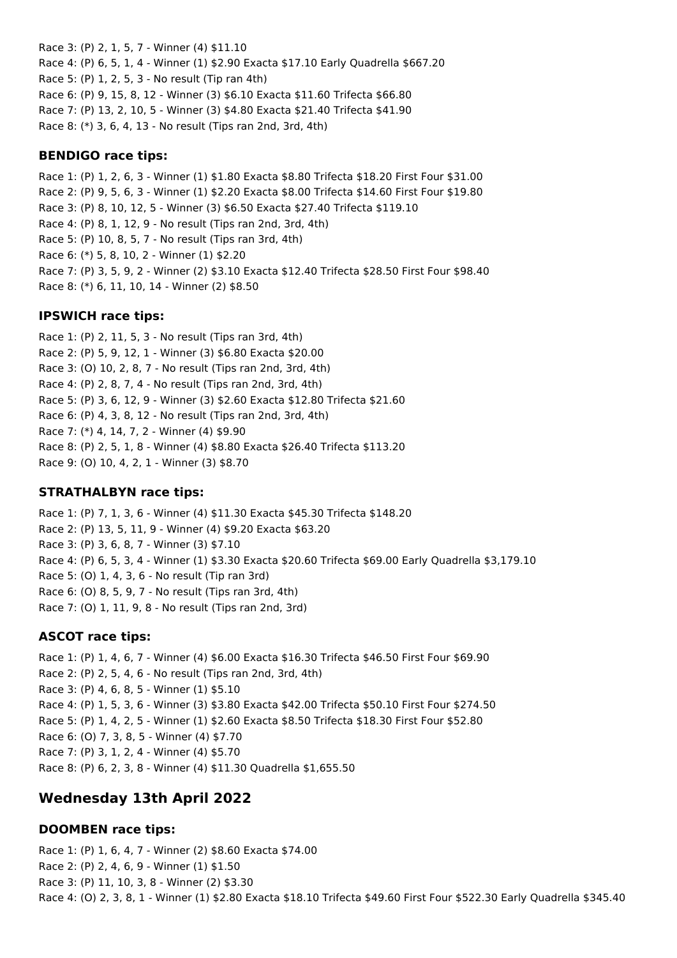Race 3: (P) 2, 1, 5, 7 - Winner (4) \$11.10 Race 4: (P) 6, 5, 1, 4 - Winner (1) \$2.90 Exacta \$17.10 Early Quadrella \$667.20 Race 5: (P) 1, 2, 5, 3 - No result (Tip ran 4th) Race 6: (P) 9, 15, 8, 12 - Winner (3) \$6.10 Exacta \$11.60 Trifecta \$66.80 Race 7: (P) 13, 2, 10, 5 - Winner (3) \$4.80 Exacta \$21.40 Trifecta \$41.90 Race 8: (\*) 3, 6, 4, 13 - No result (Tips ran 2nd, 3rd, 4th)

#### **BENDIGO race tips:**

Race 1: (P) 1, 2, 6, 3 - Winner (1) \$1.80 Exacta \$8.80 Trifecta \$18.20 First Four \$31.00 Race 2: (P) 9, 5, 6, 3 - Winner (1) \$2.20 Exacta \$8.00 Trifecta \$14.60 First Four \$19.80 Race 3: (P) 8, 10, 12, 5 - Winner (3) \$6.50 Exacta \$27.40 Trifecta \$119.10 Race 4: (P) 8, 1, 12, 9 - No result (Tips ran 2nd, 3rd, 4th) Race 5: (P) 10, 8, 5, 7 - No result (Tips ran 3rd, 4th) Race 6: (\*) 5, 8, 10, 2 - Winner (1) \$2.20 Race 7: (P) 3, 5, 9, 2 - Winner (2) \$3.10 Exacta \$12.40 Trifecta \$28.50 First Four \$98.40 Race 8: (\*) 6, 11, 10, 14 - Winner (2) \$8.50

#### **IPSWICH race tips:**

Race 1: (P) 2, 11, 5, 3 - No result (Tips ran 3rd, 4th) Race 2: (P) 5, 9, 12, 1 - Winner (3) \$6.80 Exacta \$20.00 Race 3: (O) 10, 2, 8, 7 - No result (Tips ran 2nd, 3rd, 4th) Race 4: (P) 2, 8, 7, 4 - No result (Tips ran 2nd, 3rd, 4th) Race 5: (P) 3, 6, 12, 9 - Winner (3) \$2.60 Exacta \$12.80 Trifecta \$21.60 Race 6: (P) 4, 3, 8, 12 - No result (Tips ran 2nd, 3rd, 4th) Race 7: (\*) 4, 14, 7, 2 - Winner (4) \$9.90 Race 8: (P) 2, 5, 1, 8 - Winner (4) \$8.80 Exacta \$26.40 Trifecta \$113.20 Race 9: (O) 10, 4, 2, 1 - Winner (3) \$8.70

#### **STRATHALBYN race tips:**

Race 1: (P) 7, 1, 3, 6 - Winner (4) \$11.30 Exacta \$45.30 Trifecta \$148.20 Race 2: (P) 13, 5, 11, 9 - Winner (4) \$9.20 Exacta \$63.20 Race 3: (P) 3, 6, 8, 7 - Winner (3) \$7.10 Race 4: (P) 6, 5, 3, 4 - Winner (1) \$3.30 Exacta \$20.60 Trifecta \$69.00 Early Quadrella \$3,179.10 Race 5: (O) 1, 4, 3, 6 - No result (Tip ran 3rd) Race 6: (O) 8, 5, 9, 7 - No result (Tips ran 3rd, 4th) Race 7: (O) 1, 11, 9, 8 - No result (Tips ran 2nd, 3rd)

#### **ASCOT race tips:**

Race 1: (P) 1, 4, 6, 7 - Winner (4) \$6.00 Exacta \$16.30 Trifecta \$46.50 First Four \$69.90 Race 2: (P) 2, 5, 4, 6 - No result (Tips ran 2nd, 3rd, 4th) Race 3: (P) 4, 6, 8, 5 - Winner (1) \$5.10 Race 4: (P) 1, 5, 3, 6 - Winner (3) \$3.80 Exacta \$42.00 Trifecta \$50.10 First Four \$274.50 Race 5: (P) 1, 4, 2, 5 - Winner (1) \$2.60 Exacta \$8.50 Trifecta \$18.30 First Four \$52.80 Race 6: (O) 7, 3, 8, 5 - Winner (4) \$7.70 Race 7: (P) 3, 1, 2, 4 - Winner (4) \$5.70 Race 8: (P) 6, 2, 3, 8 - Winner (4) \$11.30 Quadrella \$1,655.50

## **Wednesday 13th April 2022**

#### **DOOMBEN race tips:**

Race 1: (P) 1, 6, 4, 7 - Winner (2) \$8.60 Exacta \$74.00 Race 2: (P) 2, 4, 6, 9 - Winner (1) \$1.50 Race 3: (P) 11, 10, 3, 8 - Winner (2) \$3.30 Race 4: (O) 2, 3, 8, 1 - Winner (1) \$2.80 Exacta \$18.10 Trifecta \$49.60 First Four \$522.30 Early Quadrella \$345.40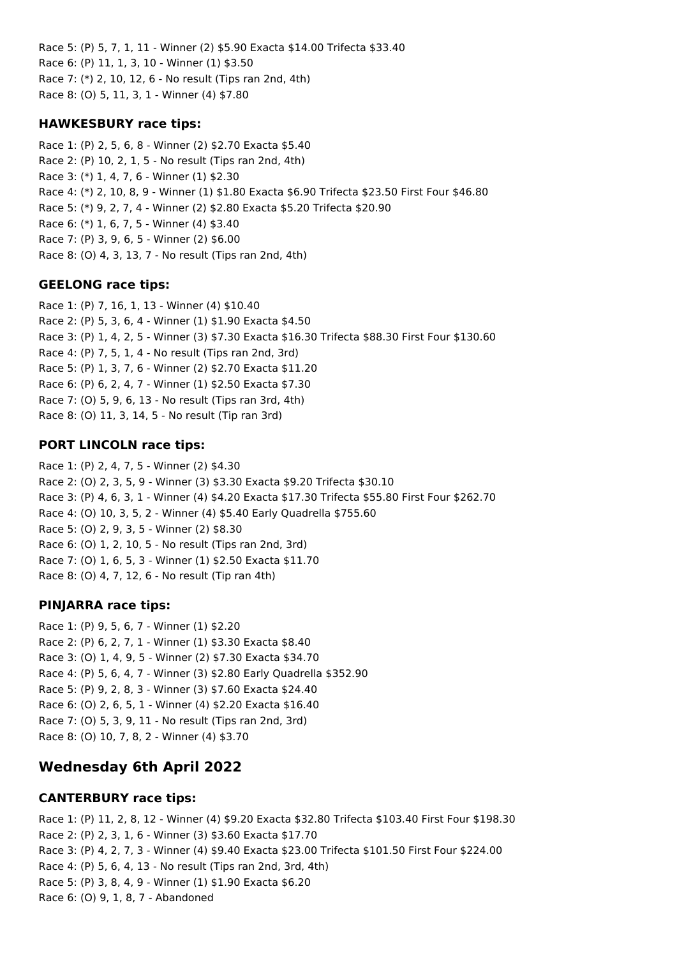Race 5: (P) 5, 7, 1, 11 - Winner (2) \$5.90 Exacta \$14.00 Trifecta \$33.40 Race 6: (P) 11, 1, 3, 10 - Winner (1) \$3.50 Race 7: (\*) 2, 10, 12, 6 - No result (Tips ran 2nd, 4th) Race 8: (O) 5, 11, 3, 1 - Winner (4) \$7.80

### **HAWKESBURY race tips:**

Race 1: (P) 2, 5, 6, 8 - Winner (2) \$2.70 Exacta \$5.40 Race 2: (P) 10, 2, 1, 5 - No result (Tips ran 2nd, 4th) Race 3: (\*) 1, 4, 7, 6 - Winner (1) \$2.30 Race 4: (\*) 2, 10, 8, 9 - Winner (1) \$1.80 Exacta \$6.90 Trifecta \$23.50 First Four \$46.80 Race 5: (\*) 9, 2, 7, 4 - Winner (2) \$2.80 Exacta \$5.20 Trifecta \$20.90 Race 6: (\*) 1, 6, 7, 5 - Winner (4) \$3.40 Race 7: (P) 3, 9, 6, 5 - Winner (2) \$6.00 Race 8: (O) 4, 3, 13, 7 - No result (Tips ran 2nd, 4th)

#### **GEELONG race tips:**

Race 1: (P) 7, 16, 1, 13 - Winner (4) \$10.40 Race 2: (P) 5, 3, 6, 4 - Winner (1) \$1.90 Exacta \$4.50 Race 3: (P) 1, 4, 2, 5 - Winner (3) \$7.30 Exacta \$16.30 Trifecta \$88.30 First Four \$130.60 Race 4: (P) 7, 5, 1, 4 - No result (Tips ran 2nd, 3rd) Race 5: (P) 1, 3, 7, 6 - Winner (2) \$2.70 Exacta \$11.20 Race 6: (P) 6, 2, 4, 7 - Winner (1) \$2.50 Exacta \$7.30 Race 7: (O) 5, 9, 6, 13 - No result (Tips ran 3rd, 4th) Race 8: (O) 11, 3, 14, 5 - No result (Tip ran 3rd)

## **PORT LINCOLN race tips:**

Race 1: (P) 2, 4, 7, 5 - Winner (2) \$4.30 Race 2: (O) 2, 3, 5, 9 - Winner (3) \$3.30 Exacta \$9.20 Trifecta \$30.10 Race 3: (P) 4, 6, 3, 1 - Winner (4) \$4.20 Exacta \$17.30 Trifecta \$55.80 First Four \$262.70 Race 4: (O) 10, 3, 5, 2 - Winner (4) \$5.40 Early Quadrella \$755.60 Race 5: (O) 2, 9, 3, 5 - Winner (2) \$8.30 Race 6: (O) 1, 2, 10, 5 - No result (Tips ran 2nd, 3rd) Race 7: (O) 1, 6, 5, 3 - Winner (1) \$2.50 Exacta \$11.70 Race 8: (O) 4, 7, 12, 6 - No result (Tip ran 4th)

## **PINJARRA race tips:**

Race 1: (P) 9, 5, 6, 7 - Winner (1) \$2.20 Race 2: (P) 6, 2, 7, 1 - Winner (1) \$3.30 Exacta \$8.40 Race 3: (O) 1, 4, 9, 5 - Winner (2) \$7.30 Exacta \$34.70 Race 4: (P) 5, 6, 4, 7 - Winner (3) \$2.80 Early Quadrella \$352.90 Race 5: (P) 9, 2, 8, 3 - Winner (3) \$7.60 Exacta \$24.40 Race 6: (O) 2, 6, 5, 1 - Winner (4) \$2.20 Exacta \$16.40 Race 7: (O) 5, 3, 9, 11 - No result (Tips ran 2nd, 3rd) Race 8: (O) 10, 7, 8, 2 - Winner (4) \$3.70

## **Wednesday 6th April 2022**

#### **CANTERBURY race tips:**

Race 1: (P) 11, 2, 8, 12 - Winner (4) \$9.20 Exacta \$32.80 Trifecta \$103.40 First Four \$198.30 Race 2: (P) 2, 3, 1, 6 - Winner (3) \$3.60 Exacta \$17.70 Race 3: (P) 4, 2, 7, 3 - Winner (4) \$9.40 Exacta \$23.00 Trifecta \$101.50 First Four \$224.00 Race 4: (P) 5, 6, 4, 13 - No result (Tips ran 2nd, 3rd, 4th) Race 5: (P) 3, 8, 4, 9 - Winner (1) \$1.90 Exacta \$6.20 Race 6: (O) 9, 1, 8, 7 - Abandoned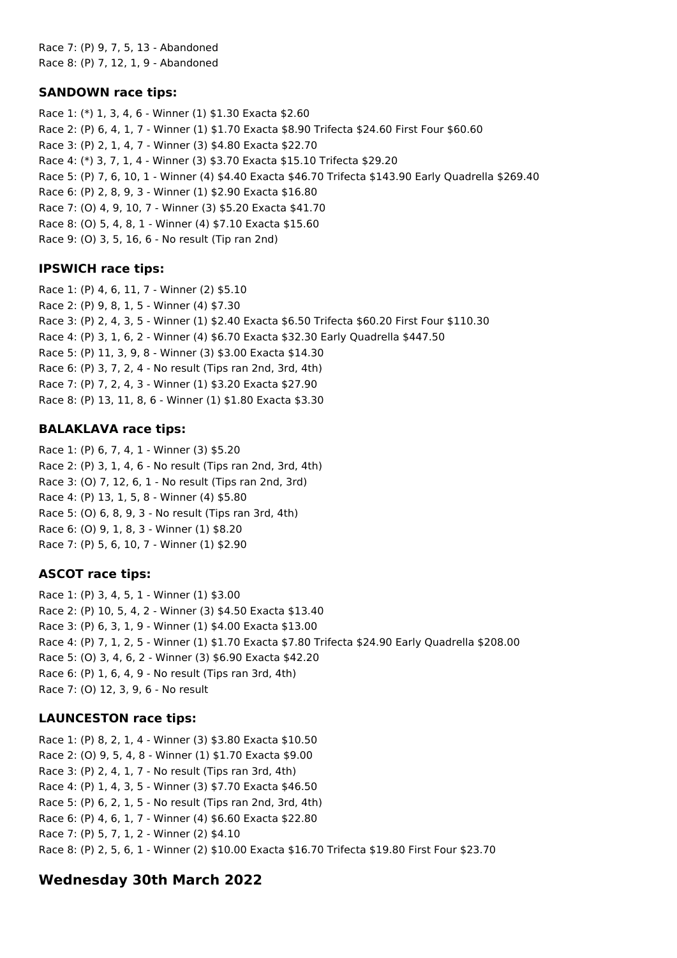Race 7: (P) 9, 7, 5, 13 - Abandoned Race 8: (P) 7, 12, 1, 9 - Abandoned

#### **SANDOWN race tips:**

Race 1: (\*) 1, 3, 4, 6 - Winner (1) \$1.30 Exacta \$2.60 Race 2: (P) 6, 4, 1, 7 - Winner (1) \$1.70 Exacta \$8.90 Trifecta \$24.60 First Four \$60.60 Race 3: (P) 2, 1, 4, 7 - Winner (3) \$4.80 Exacta \$22.70 Race 4: (\*) 3, 7, 1, 4 - Winner (3) \$3.70 Exacta \$15.10 Trifecta \$29.20 Race 5: (P) 7, 6, 10, 1 - Winner (4) \$4.40 Exacta \$46.70 Trifecta \$143.90 Early Quadrella \$269.40 Race 6: (P) 2, 8, 9, 3 - Winner (1) \$2.90 Exacta \$16.80 Race 7: (O) 4, 9, 10, 7 - Winner (3) \$5.20 Exacta \$41.70 Race 8: (O) 5, 4, 8, 1 - Winner (4) \$7.10 Exacta \$15.60 Race 9: (O) 3, 5, 16, 6 - No result (Tip ran 2nd)

## **IPSWICH race tips:**

Race 1: (P) 4, 6, 11, 7 - Winner (2) \$5.10 Race 2: (P) 9, 8, 1, 5 - Winner (4) \$7.30 Race 3: (P) 2, 4, 3, 5 - Winner (1) \$2.40 Exacta \$6.50 Trifecta \$60.20 First Four \$110.30 Race 4: (P) 3, 1, 6, 2 - Winner (4) \$6.70 Exacta \$32.30 Early Quadrella \$447.50 Race 5: (P) 11, 3, 9, 8 - Winner (3) \$3.00 Exacta \$14.30 Race 6: (P) 3, 7, 2, 4 - No result (Tips ran 2nd, 3rd, 4th) Race 7: (P) 7, 2, 4, 3 - Winner (1) \$3.20 Exacta \$27.90 Race 8: (P) 13, 11, 8, 6 - Winner (1) \$1.80 Exacta \$3.30

## **BALAKLAVA race tips:**

Race 1: (P) 6, 7, 4, 1 - Winner (3) \$5.20 Race 2: (P) 3, 1, 4, 6 - No result (Tips ran 2nd, 3rd, 4th) Race 3: (O) 7, 12, 6, 1 - No result (Tips ran 2nd, 3rd) Race 4: (P) 13, 1, 5, 8 - Winner (4) \$5.80 Race 5: (O) 6, 8, 9, 3 - No result (Tips ran 3rd, 4th) Race 6: (O) 9, 1, 8, 3 - Winner (1) \$8.20 Race 7: (P) 5, 6, 10, 7 - Winner (1) \$2.90

## **ASCOT race tips:**

Race 1: (P) 3, 4, 5, 1 - Winner (1) \$3.00 Race 2: (P) 10, 5, 4, 2 - Winner (3) \$4.50 Exacta \$13.40 Race 3: (P) 6, 3, 1, 9 - Winner (1) \$4.00 Exacta \$13.00 Race 4: (P) 7, 1, 2, 5 - Winner (1) \$1.70 Exacta \$7.80 Trifecta \$24.90 Early Quadrella \$208.00 Race 5: (O) 3, 4, 6, 2 - Winner (3) \$6.90 Exacta \$42.20 Race 6: (P) 1, 6, 4, 9 - No result (Tips ran 3rd, 4th) Race 7: (O) 12, 3, 9, 6 - No result

## **LAUNCESTON race tips:**

Race 1: (P) 8, 2, 1, 4 - Winner (3) \$3.80 Exacta \$10.50 Race 2: (O) 9, 5, 4, 8 - Winner (1) \$1.70 Exacta \$9.00 Race 3: (P) 2, 4, 1, 7 - No result (Tips ran 3rd, 4th) Race 4: (P) 1, 4, 3, 5 - Winner (3) \$7.70 Exacta \$46.50 Race 5: (P) 6, 2, 1, 5 - No result (Tips ran 2nd, 3rd, 4th) Race 6: (P) 4, 6, 1, 7 - Winner (4) \$6.60 Exacta \$22.80 Race 7: (P) 5, 7, 1, 2 - Winner (2) \$4.10 Race 8: (P) 2, 5, 6, 1 - Winner (2) \$10.00 Exacta \$16.70 Trifecta \$19.80 First Four \$23.70

## **Wednesday 30th March 2022**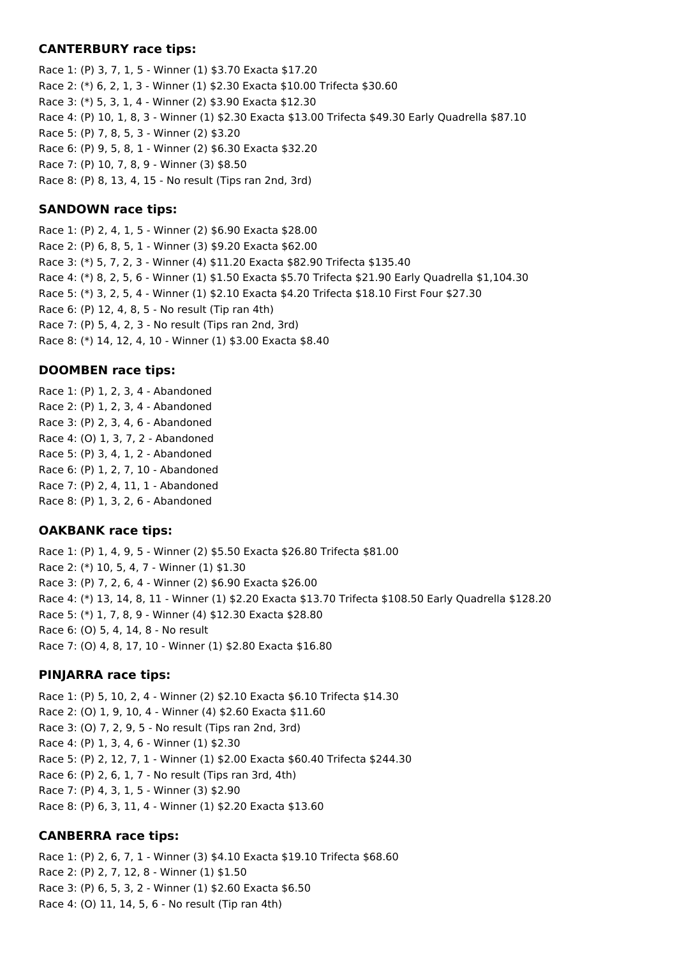#### **CANTERBURY race tips:**

Race 1: (P) 3, 7, 1, 5 - Winner (1) \$3.70 Exacta \$17.20 Race 2: (\*) 6, 2, 1, 3 - Winner (1) \$2.30 Exacta \$10.00 Trifecta \$30.60 Race 3: (\*) 5, 3, 1, 4 - Winner (2) \$3.90 Exacta \$12.30 Race 4: (P) 10, 1, 8, 3 - Winner (1) \$2.30 Exacta \$13.00 Trifecta \$49.30 Early Quadrella \$87.10 Race 5: (P) 7, 8, 5, 3 - Winner (2) \$3.20 Race 6: (P) 9, 5, 8, 1 - Winner (2) \$6.30 Exacta \$32.20 Race 7: (P) 10, 7, 8, 9 - Winner (3) \$8.50 Race 8: (P) 8, 13, 4, 15 - No result (Tips ran 2nd, 3rd)

### **SANDOWN race tips:**

Race 1: (P) 2, 4, 1, 5 - Winner (2) \$6.90 Exacta \$28.00 Race 2: (P) 6, 8, 5, 1 - Winner (3) \$9.20 Exacta \$62.00 Race 3: (\*) 5, 7, 2, 3 - Winner (4) \$11.20 Exacta \$82.90 Trifecta \$135.40 Race 4: (\*) 8, 2, 5, 6 - Winner (1) \$1.50 Exacta \$5.70 Trifecta \$21.90 Early Quadrella \$1,104.30 Race 5: (\*) 3, 2, 5, 4 - Winner (1) \$2.10 Exacta \$4.20 Trifecta \$18.10 First Four \$27.30 Race 6: (P) 12, 4, 8, 5 - No result (Tip ran 4th) Race 7: (P) 5, 4, 2, 3 - No result (Tips ran 2nd, 3rd) Race 8: (\*) 14, 12, 4, 10 - Winner (1) \$3.00 Exacta \$8.40

#### **DOOMBEN race tips:**

Race 1: (P) 1, 2, 3, 4 - Abandoned Race 2: (P) 1, 2, 3, 4 - Abandoned Race 3: (P) 2, 3, 4, 6 - Abandoned Race 4: (O) 1, 3, 7, 2 - Abandoned Race 5: (P) 3, 4, 1, 2 - Abandoned Race 6: (P) 1, 2, 7, 10 - Abandoned Race 7: (P) 2, 4, 11, 1 - Abandoned Race 8: (P) 1, 3, 2, 6 - Abandoned

#### **OAKBANK race tips:**

Race 1: (P) 1, 4, 9, 5 - Winner (2) \$5.50 Exacta \$26.80 Trifecta \$81.00 Race 2: (\*) 10, 5, 4, 7 - Winner (1) \$1.30 Race 3: (P) 7, 2, 6, 4 - Winner (2) \$6.90 Exacta \$26.00 Race 4: (\*) 13, 14, 8, 11 - Winner (1) \$2.20 Exacta \$13.70 Trifecta \$108.50 Early Quadrella \$128.20 Race 5: (\*) 1, 7, 8, 9 - Winner (4) \$12.30 Exacta \$28.80 Race 6: (O) 5, 4, 14, 8 - No result Race 7: (O) 4, 8, 17, 10 - Winner (1) \$2.80 Exacta \$16.80

#### **PINJARRA race tips:**

Race 1: (P) 5, 10, 2, 4 - Winner (2) \$2.10 Exacta \$6.10 Trifecta \$14.30 Race 2: (O) 1, 9, 10, 4 - Winner (4) \$2.60 Exacta \$11.60 Race 3: (O) 7, 2, 9, 5 - No result (Tips ran 2nd, 3rd) Race 4: (P) 1, 3, 4, 6 - Winner (1) \$2.30 Race 5: (P) 2, 12, 7, 1 - Winner (1) \$2.00 Exacta \$60.40 Trifecta \$244.30 Race 6: (P) 2, 6, 1, 7 - No result (Tips ran 3rd, 4th) Race 7: (P) 4, 3, 1, 5 - Winner (3) \$2.90 Race 8: (P) 6, 3, 11, 4 - Winner (1) \$2.20 Exacta \$13.60

#### **CANBERRA race tips:**

Race 1: (P) 2, 6, 7, 1 - Winner (3) \$4.10 Exacta \$19.10 Trifecta \$68.60 Race 2: (P) 2, 7, 12, 8 - Winner (1) \$1.50 Race 3: (P) 6, 5, 3, 2 - Winner (1) \$2.60 Exacta \$6.50 Race 4: (O) 11, 14, 5, 6 - No result (Tip ran 4th)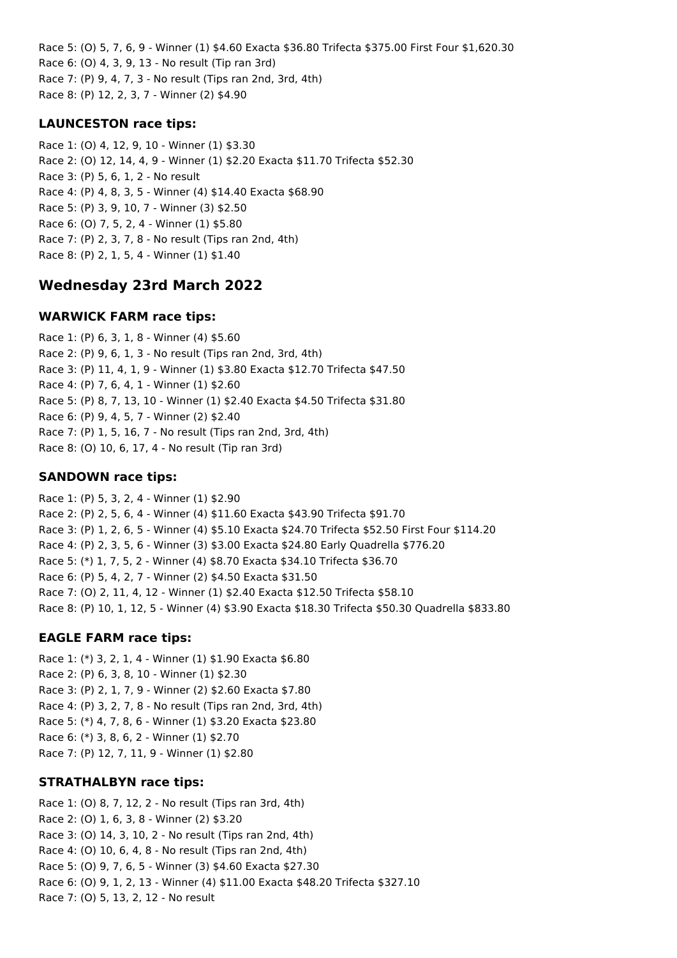Race 5: (O) 5, 7, 6, 9 - Winner (1) \$4.60 Exacta \$36.80 Trifecta \$375.00 First Four \$1,620.30 Race 6: (O) 4, 3, 9, 13 - No result (Tip ran 3rd) Race 7: (P) 9, 4, 7, 3 - No result (Tips ran 2nd, 3rd, 4th) Race 8: (P) 12, 2, 3, 7 - Winner (2) \$4.90

### **LAUNCESTON race tips:**

Race 1: (O) 4, 12, 9, 10 - Winner (1) \$3.30 Race 2: (O) 12, 14, 4, 9 - Winner (1) \$2.20 Exacta \$11.70 Trifecta \$52.30 Race 3: (P) 5, 6, 1, 2 - No result Race 4: (P) 4, 8, 3, 5 - Winner (4) \$14.40 Exacta \$68.90 Race 5: (P) 3, 9, 10, 7 - Winner (3) \$2.50 Race 6: (O) 7, 5, 2, 4 - Winner (1) \$5.80 Race 7: (P) 2, 3, 7, 8 - No result (Tips ran 2nd, 4th) Race 8: (P) 2, 1, 5, 4 - Winner (1) \$1.40

## **Wednesday 23rd March 2022**

#### **WARWICK FARM race tips:**

Race 1: (P) 6, 3, 1, 8 - Winner (4) \$5.60 Race 2: (P) 9, 6, 1, 3 - No result (Tips ran 2nd, 3rd, 4th) Race 3: (P) 11, 4, 1, 9 - Winner (1) \$3.80 Exacta \$12.70 Trifecta \$47.50 Race 4: (P) 7, 6, 4, 1 - Winner (1) \$2.60 Race 5: (P) 8, 7, 13, 10 - Winner (1) \$2.40 Exacta \$4.50 Trifecta \$31.80 Race 6: (P) 9, 4, 5, 7 - Winner (2) \$2.40 Race 7: (P) 1, 5, 16, 7 - No result (Tips ran 2nd, 3rd, 4th) Race 8: (O) 10, 6, 17, 4 - No result (Tip ran 3rd)

#### **SANDOWN race tips:**

Race 1: (P) 5, 3, 2, 4 - Winner (1) \$2.90 Race 2: (P) 2, 5, 6, 4 - Winner (4) \$11.60 Exacta \$43.90 Trifecta \$91.70 Race 3: (P) 1, 2, 6, 5 - Winner (4) \$5.10 Exacta \$24.70 Trifecta \$52.50 First Four \$114.20 Race 4: (P) 2, 3, 5, 6 - Winner (3) \$3.00 Exacta \$24.80 Early Quadrella \$776.20 Race 5: (\*) 1, 7, 5, 2 - Winner (4) \$8.70 Exacta \$34.10 Trifecta \$36.70 Race 6: (P) 5, 4, 2, 7 - Winner (2) \$4.50 Exacta \$31.50 Race 7: (O) 2, 11, 4, 12 - Winner (1) \$2.40 Exacta \$12.50 Trifecta \$58.10 Race 8: (P) 10, 1, 12, 5 - Winner (4) \$3.90 Exacta \$18.30 Trifecta \$50.30 Quadrella \$833.80

#### **EAGLE FARM race tips:**

Race 1: (\*) 3, 2, 1, 4 - Winner (1) \$1.90 Exacta \$6.80 Race 2: (P) 6, 3, 8, 10 - Winner (1) \$2.30 Race 3: (P) 2, 1, 7, 9 - Winner (2) \$2.60 Exacta \$7.80 Race 4: (P) 3, 2, 7, 8 - No result (Tips ran 2nd, 3rd, 4th) Race 5: (\*) 4, 7, 8, 6 - Winner (1) \$3.20 Exacta \$23.80 Race 6: (\*) 3, 8, 6, 2 - Winner (1) \$2.70 Race 7: (P) 12, 7, 11, 9 - Winner (1) \$2.80

#### **STRATHALBYN race tips:**

Race 1: (O) 8, 7, 12, 2 - No result (Tips ran 3rd, 4th) Race 2: (O) 1, 6, 3, 8 - Winner (2) \$3.20 Race 3: (O) 14, 3, 10, 2 - No result (Tips ran 2nd, 4th) Race 4: (O) 10, 6, 4, 8 - No result (Tips ran 2nd, 4th) Race 5: (O) 9, 7, 6, 5 - Winner (3) \$4.60 Exacta \$27.30 Race 6: (O) 9, 1, 2, 13 - Winner (4) \$11.00 Exacta \$48.20 Trifecta \$327.10 Race 7: (O) 5, 13, 2, 12 - No result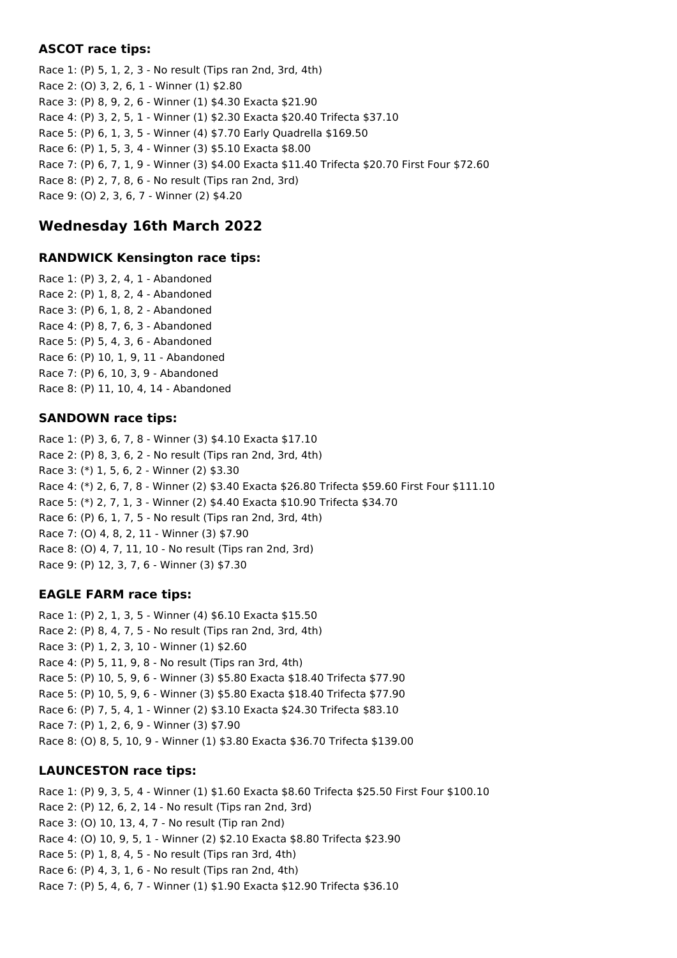### **ASCOT race tips:**

Race 1: (P) 5, 1, 2, 3 - No result (Tips ran 2nd, 3rd, 4th) Race 2: (O) 3, 2, 6, 1 - Winner (1) \$2.80 Race 3: (P) 8, 9, 2, 6 - Winner (1) \$4.30 Exacta \$21.90 Race 4: (P) 3, 2, 5, 1 - Winner (1) \$2.30 Exacta \$20.40 Trifecta \$37.10 Race 5: (P) 6, 1, 3, 5 - Winner (4) \$7.70 Early Quadrella \$169.50 Race 6: (P) 1, 5, 3, 4 - Winner (3) \$5.10 Exacta \$8.00 Race 7: (P) 6, 7, 1, 9 - Winner (3) \$4.00 Exacta \$11.40 Trifecta \$20.70 First Four \$72.60 Race 8: (P) 2, 7, 8, 6 - No result (Tips ran 2nd, 3rd) Race 9: (O) 2, 3, 6, 7 - Winner (2) \$4.20

## **Wednesday 16th March 2022**

#### **RANDWICK Kensington race tips:**

Race 1: (P) 3, 2, 4, 1 - Abandoned Race 2: (P) 1, 8, 2, 4 - Abandoned Race 3: (P) 6, 1, 8, 2 - Abandoned Race 4: (P) 8, 7, 6, 3 - Abandoned Race 5: (P) 5, 4, 3, 6 - Abandoned Race 6: (P) 10, 1, 9, 11 - Abandoned Race 7: (P) 6, 10, 3, 9 - Abandoned Race 8: (P) 11, 10, 4, 14 - Abandoned

#### **SANDOWN race tips:**

Race 1: (P) 3, 6, 7, 8 - Winner (3) \$4.10 Exacta \$17.10 Race 2: (P) 8, 3, 6, 2 - No result (Tips ran 2nd, 3rd, 4th) Race 3: (\*) 1, 5, 6, 2 - Winner (2) \$3.30 Race 4: (\*) 2, 6, 7, 8 - Winner (2) \$3.40 Exacta \$26.80 Trifecta \$59.60 First Four \$111.10 Race 5: (\*) 2, 7, 1, 3 - Winner (2) \$4.40 Exacta \$10.90 Trifecta \$34.70 Race 6: (P) 6, 1, 7, 5 - No result (Tips ran 2nd, 3rd, 4th) Race 7: (O) 4, 8, 2, 11 - Winner (3) \$7.90 Race 8: (O) 4, 7, 11, 10 - No result (Tips ran 2nd, 3rd) Race 9: (P) 12, 3, 7, 6 - Winner (3) \$7.30

## **EAGLE FARM race tips:**

Race 1: (P) 2, 1, 3, 5 - Winner (4) \$6.10 Exacta \$15.50 Race 2: (P) 8, 4, 7, 5 - No result (Tips ran 2nd, 3rd, 4th) Race 3: (P) 1, 2, 3, 10 - Winner (1) \$2.60 Race 4: (P) 5, 11, 9, 8 - No result (Tips ran 3rd, 4th) Race 5: (P) 10, 5, 9, 6 - Winner (3) \$5.80 Exacta \$18.40 Trifecta \$77.90 Race 5: (P) 10, 5, 9, 6 - Winner (3) \$5.80 Exacta \$18.40 Trifecta \$77.90 Race 6: (P) 7, 5, 4, 1 - Winner (2) \$3.10 Exacta \$24.30 Trifecta \$83.10 Race 7: (P) 1, 2, 6, 9 - Winner (3) \$7.90 Race 8: (O) 8, 5, 10, 9 - Winner (1) \$3.80 Exacta \$36.70 Trifecta \$139.00

## **LAUNCESTON race tips:**

Race 1: (P) 9, 3, 5, 4 - Winner (1) \$1.60 Exacta \$8.60 Trifecta \$25.50 First Four \$100.10 Race 2: (P) 12, 6, 2, 14 - No result (Tips ran 2nd, 3rd) Race 3: (O) 10, 13, 4, 7 - No result (Tip ran 2nd) Race 4: (O) 10, 9, 5, 1 - Winner (2) \$2.10 Exacta \$8.80 Trifecta \$23.90 Race 5: (P) 1, 8, 4, 5 - No result (Tips ran 3rd, 4th) Race 6: (P) 4, 3, 1, 6 - No result (Tips ran 2nd, 4th) Race 7: (P) 5, 4, 6, 7 - Winner (1) \$1.90 Exacta \$12.90 Trifecta \$36.10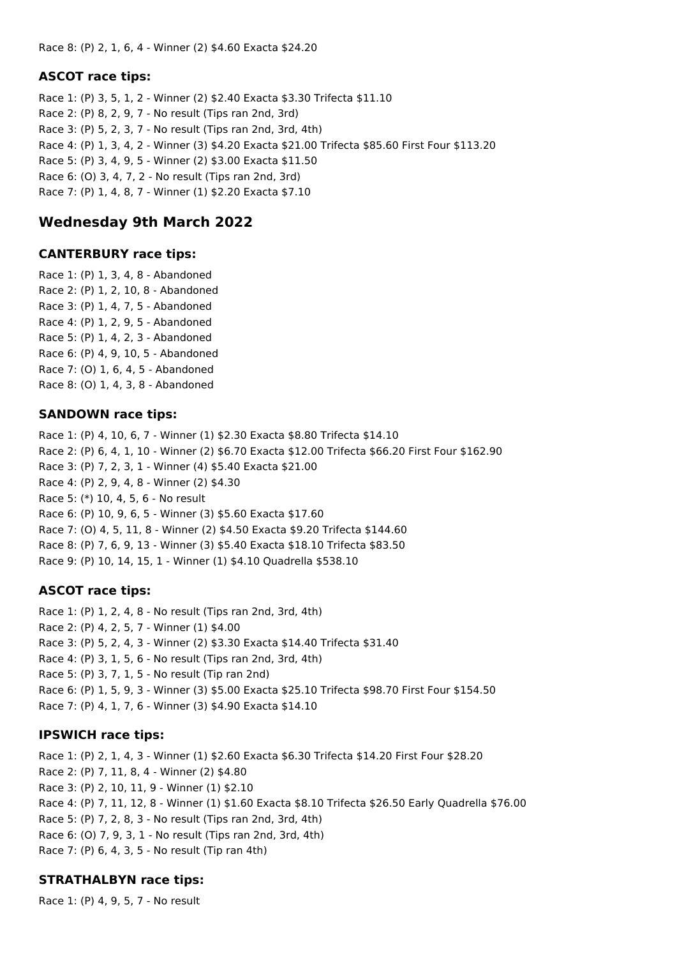#### **ASCOT race tips:**

Race 1: (P) 3, 5, 1, 2 - Winner (2) \$2.40 Exacta \$3.30 Trifecta \$11.10 Race 2: (P) 8, 2, 9, 7 - No result (Tips ran 2nd, 3rd) Race 3: (P) 5, 2, 3, 7 - No result (Tips ran 2nd, 3rd, 4th) Race 4: (P) 1, 3, 4, 2 - Winner (3) \$4.20 Exacta \$21.00 Trifecta \$85.60 First Four \$113.20 Race 5: (P) 3, 4, 9, 5 - Winner (2) \$3.00 Exacta \$11.50 Race 6: (O) 3, 4, 7, 2 - No result (Tips ran 2nd, 3rd) Race 7: (P) 1, 4, 8, 7 - Winner (1) \$2.20 Exacta \$7.10

## **Wednesday 9th March 2022**

#### **CANTERBURY race tips:**

Race 1: (P) 1, 3, 4, 8 - Abandoned Race 2: (P) 1, 2, 10, 8 - Abandoned Race 3: (P) 1, 4, 7, 5 - Abandoned Race 4: (P) 1, 2, 9, 5 - Abandoned Race 5: (P) 1, 4, 2, 3 - Abandoned Race 6: (P) 4, 9, 10, 5 - Abandoned Race 7: (O) 1, 6, 4, 5 - Abandoned Race 8: (O) 1, 4, 3, 8 - Abandoned

#### **SANDOWN race tips:**

Race 1: (P) 4, 10, 6, 7 - Winner (1) \$2.30 Exacta \$8.80 Trifecta \$14.10 Race 2: (P) 6, 4, 1, 10 - Winner (2) \$6.70 Exacta \$12.00 Trifecta \$66.20 First Four \$162.90 Race 3: (P) 7, 2, 3, 1 - Winner (4) \$5.40 Exacta \$21.00 Race 4: (P) 2, 9, 4, 8 - Winner (2) \$4.30 Race 5: (\*) 10, 4, 5, 6 - No result Race 6: (P) 10, 9, 6, 5 - Winner (3) \$5.60 Exacta \$17.60 Race 7: (O) 4, 5, 11, 8 - Winner (2) \$4.50 Exacta \$9.20 Trifecta \$144.60 Race 8: (P) 7, 6, 9, 13 - Winner (3) \$5.40 Exacta \$18.10 Trifecta \$83.50 Race 9: (P) 10, 14, 15, 1 - Winner (1) \$4.10 Quadrella \$538.10

#### **ASCOT race tips:**

Race 1: (P) 1, 2, 4, 8 - No result (Tips ran 2nd, 3rd, 4th) Race 2: (P) 4, 2, 5, 7 - Winner (1) \$4.00 Race 3: (P) 5, 2, 4, 3 - Winner (2) \$3.30 Exacta \$14.40 Trifecta \$31.40 Race 4: (P) 3, 1, 5, 6 - No result (Tips ran 2nd, 3rd, 4th) Race 5: (P) 3, 7, 1, 5 - No result (Tip ran 2nd) Race 6: (P) 1, 5, 9, 3 - Winner (3) \$5.00 Exacta \$25.10 Trifecta \$98.70 First Four \$154.50 Race 7: (P) 4, 1, 7, 6 - Winner (3) \$4.90 Exacta \$14.10

#### **IPSWICH race tips:**

Race 1: (P) 2, 1, 4, 3 - Winner (1) \$2.60 Exacta \$6.30 Trifecta \$14.20 First Four \$28.20 Race 2: (P) 7, 11, 8, 4 - Winner (2) \$4.80 Race 3: (P) 2, 10, 11, 9 - Winner (1) \$2.10 Race 4: (P) 7, 11, 12, 8 - Winner (1) \$1.60 Exacta \$8.10 Trifecta \$26.50 Early Quadrella \$76.00 Race 5: (P) 7, 2, 8, 3 - No result (Tips ran 2nd, 3rd, 4th) Race 6: (O) 7, 9, 3, 1 - No result (Tips ran 2nd, 3rd, 4th) Race 7: (P) 6, 4, 3, 5 - No result (Tip ran 4th)

#### **STRATHALBYN race tips:**

Race 1: (P) 4, 9, 5, 7 - No result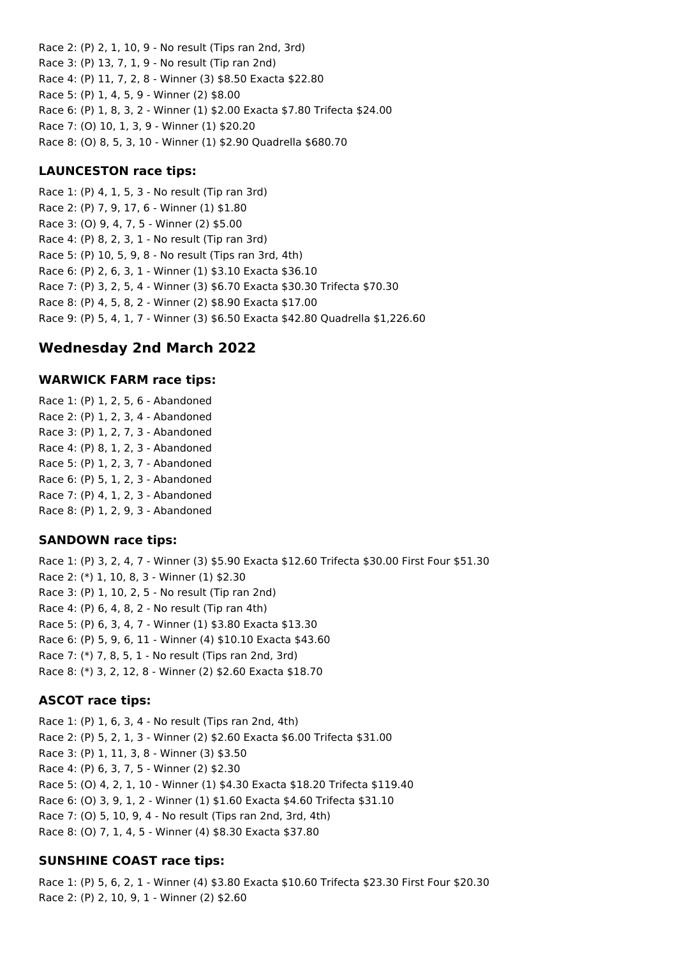Race 2: (P) 2, 1, 10, 9 - No result (Tips ran 2nd, 3rd) Race 3: (P) 13, 7, 1, 9 - No result (Tip ran 2nd) Race 4: (P) 11, 7, 2, 8 - Winner (3) \$8.50 Exacta \$22.80 Race 5: (P) 1, 4, 5, 9 - Winner (2) \$8.00 Race 6: (P) 1, 8, 3, 2 - Winner (1) \$2.00 Exacta \$7.80 Trifecta \$24.00 Race 7: (O) 10, 1, 3, 9 - Winner (1) \$20.20 Race 8: (O) 8, 5, 3, 10 - Winner (1) \$2.90 Quadrella \$680.70

## **LAUNCESTON race tips:**

Race 1: (P) 4, 1, 5, 3 - No result (Tip ran 3rd) Race 2: (P) 7, 9, 17, 6 - Winner (1) \$1.80 Race 3: (O) 9, 4, 7, 5 - Winner (2) \$5.00 Race 4: (P) 8, 2, 3, 1 - No result (Tip ran 3rd) Race 5: (P) 10, 5, 9, 8 - No result (Tips ran 3rd, 4th) Race 6: (P) 2, 6, 3, 1 - Winner (1) \$3.10 Exacta \$36.10 Race 7: (P) 3, 2, 5, 4 - Winner (3) \$6.70 Exacta \$30.30 Trifecta \$70.30 Race 8: (P) 4, 5, 8, 2 - Winner (2) \$8.90 Exacta \$17.00 Race 9: (P) 5, 4, 1, 7 - Winner (3) \$6.50 Exacta \$42.80 Quadrella \$1,226.60

## **Wednesday 2nd March 2022**

## **WARWICK FARM race tips:**

Race 1: (P) 1, 2, 5, 6 - Abandoned Race 2: (P) 1, 2, 3, 4 - Abandoned Race 3: (P) 1, 2, 7, 3 - Abandoned Race 4: (P) 8, 1, 2, 3 - Abandoned Race 5: (P) 1, 2, 3, 7 - Abandoned Race 6: (P) 5, 1, 2, 3 - Abandoned Race 7: (P) 4, 1, 2, 3 - Abandoned Race 8: (P) 1, 2, 9, 3 - Abandoned

## **SANDOWN race tips:**

Race 1: (P) 3, 2, 4, 7 - Winner (3) \$5.90 Exacta \$12.60 Trifecta \$30.00 First Four \$51.30 Race 2: (\*) 1, 10, 8, 3 - Winner (1) \$2.30 Race 3: (P) 1, 10, 2, 5 - No result (Tip ran 2nd) Race 4: (P) 6, 4, 8, 2 - No result (Tip ran 4th) Race 5: (P) 6, 3, 4, 7 - Winner (1) \$3.80 Exacta \$13.30 Race 6: (P) 5, 9, 6, 11 - Winner (4) \$10.10 Exacta \$43.60 Race 7: (\*) 7, 8, 5, 1 - No result (Tips ran 2nd, 3rd) Race 8: (\*) 3, 2, 12, 8 - Winner (2) \$2.60 Exacta \$18.70

## **ASCOT race tips:**

Race 1: (P) 1, 6, 3, 4 - No result (Tips ran 2nd, 4th) Race 2: (P) 5, 2, 1, 3 - Winner (2) \$2.60 Exacta \$6.00 Trifecta \$31.00 Race 3: (P) 1, 11, 3, 8 - Winner (3) \$3.50 Race 4: (P) 6, 3, 7, 5 - Winner (2) \$2.30 Race 5: (O) 4, 2, 1, 10 - Winner (1) \$4.30 Exacta \$18.20 Trifecta \$119.40 Race 6: (O) 3, 9, 1, 2 - Winner (1) \$1.60 Exacta \$4.60 Trifecta \$31.10 Race 7: (O) 5, 10, 9, 4 - No result (Tips ran 2nd, 3rd, 4th) Race 8: (O) 7, 1, 4, 5 - Winner (4) \$8.30 Exacta \$37.80

## **SUNSHINE COAST race tips:**

Race 1: (P) 5, 6, 2, 1 - Winner (4) \$3.80 Exacta \$10.60 Trifecta \$23.30 First Four \$20.30 Race 2: (P) 2, 10, 9, 1 - Winner (2) \$2.60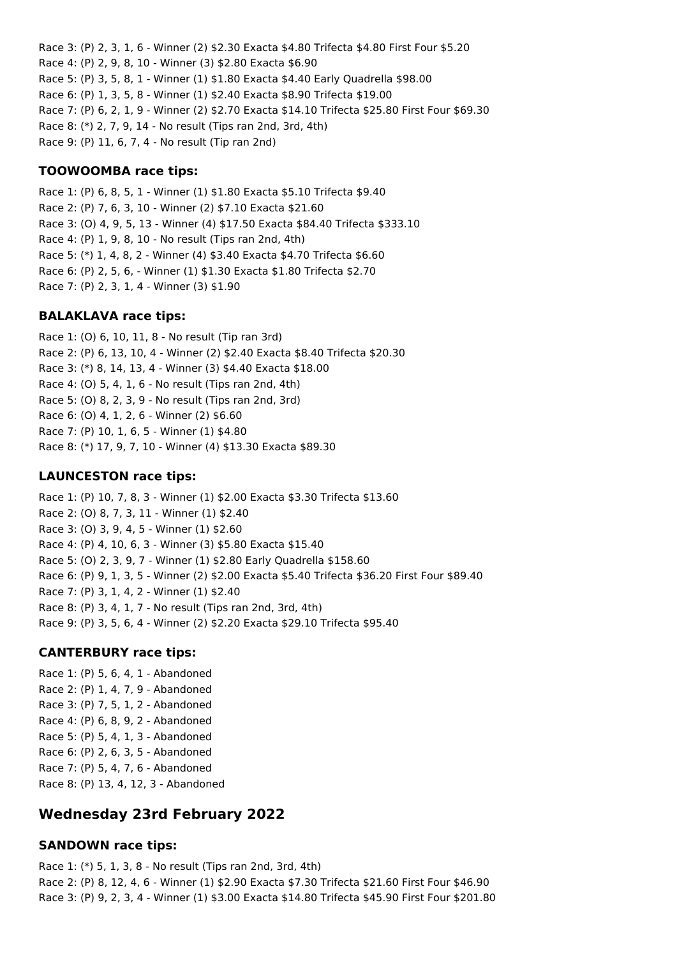Race 3: (P) 2, 3, 1, 6 - Winner (2) \$2.30 Exacta \$4.80 Trifecta \$4.80 First Four \$5.20 Race 4: (P) 2, 9, 8, 10 - Winner (3) \$2.80 Exacta \$6.90 Race 5: (P) 3, 5, 8, 1 - Winner (1) \$1.80 Exacta \$4.40 Early Quadrella \$98.00 Race 6: (P) 1, 3, 5, 8 - Winner (1) \$2.40 Exacta \$8.90 Trifecta \$19.00 Race 7: (P) 6, 2, 1, 9 - Winner (2) \$2.70 Exacta \$14.10 Trifecta \$25.80 First Four \$69.30 Race 8: (\*) 2, 7, 9, 14 - No result (Tips ran 2nd, 3rd, 4th) Race 9: (P) 11, 6, 7, 4 - No result (Tip ran 2nd)

## **TOOWOOMBA race tips:**

Race 1: (P) 6, 8, 5, 1 - Winner (1) \$1.80 Exacta \$5.10 Trifecta \$9.40 Race 2: (P) 7, 6, 3, 10 - Winner (2) \$7.10 Exacta \$21.60 Race 3: (O) 4, 9, 5, 13 - Winner (4) \$17.50 Exacta \$84.40 Trifecta \$333.10 Race 4: (P) 1, 9, 8, 10 - No result (Tips ran 2nd, 4th) Race 5: (\*) 1, 4, 8, 2 - Winner (4) \$3.40 Exacta \$4.70 Trifecta \$6.60 Race 6: (P) 2, 5, 6, - Winner (1) \$1.30 Exacta \$1.80 Trifecta \$2.70 Race 7: (P) 2, 3, 1, 4 - Winner (3) \$1.90

#### **BALAKLAVA race tips:**

Race 1: (O) 6, 10, 11, 8 - No result (Tip ran 3rd) Race 2: (P) 6, 13, 10, 4 - Winner (2) \$2.40 Exacta \$8.40 Trifecta \$20.30 Race 3: (\*) 8, 14, 13, 4 - Winner (3) \$4.40 Exacta \$18.00 Race 4: (O) 5, 4, 1, 6 - No result (Tips ran 2nd, 4th) Race 5: (O) 8, 2, 3, 9 - No result (Tips ran 2nd, 3rd) Race 6: (O) 4, 1, 2, 6 - Winner (2) \$6.60 Race 7: (P) 10, 1, 6, 5 - Winner (1) \$4.80 Race 8: (\*) 17, 9, 7, 10 - Winner (4) \$13.30 Exacta \$89.30

#### **LAUNCESTON race tips:**

Race 1: (P) 10, 7, 8, 3 - Winner (1) \$2.00 Exacta \$3.30 Trifecta \$13.60 Race 2: (O) 8, 7, 3, 11 - Winner (1) \$2.40 Race 3: (O) 3, 9, 4, 5 - Winner (1) \$2.60 Race 4: (P) 4, 10, 6, 3 - Winner (3) \$5.80 Exacta \$15.40 Race 5: (O) 2, 3, 9, 7 - Winner (1) \$2.80 Early Quadrella \$158.60 Race 6: (P) 9, 1, 3, 5 - Winner (2) \$2.00 Exacta \$5.40 Trifecta \$36.20 First Four \$89.40 Race 7: (P) 3, 1, 4, 2 - Winner (1) \$2.40 Race 8: (P) 3, 4, 1, 7 - No result (Tips ran 2nd, 3rd, 4th) Race 9: (P) 3, 5, 6, 4 - Winner (2) \$2.20 Exacta \$29.10 Trifecta \$95.40

#### **CANTERBURY race tips:**

Race 1: (P) 5, 6, 4, 1 - Abandoned Race 2: (P) 1, 4, 7, 9 - Abandoned Race 3: (P) 7, 5, 1, 2 - Abandoned Race 4: (P) 6, 8, 9, 2 - Abandoned Race 5: (P) 5, 4, 1, 3 - Abandoned Race 6: (P) 2, 6, 3, 5 - Abandoned Race 7: (P) 5, 4, 7, 6 - Abandoned Race 8: (P) 13, 4, 12, 3 - Abandoned

## **Wednesday 23rd February 2022**

#### **SANDOWN race tips:**

Race 1: (\*) 5, 1, 3, 8 - No result (Tips ran 2nd, 3rd, 4th) Race 2: (P) 8, 12, 4, 6 - Winner (1) \$2.90 Exacta \$7.30 Trifecta \$21.60 First Four \$46.90 Race 3: (P) 9, 2, 3, 4 - Winner (1) \$3.00 Exacta \$14.80 Trifecta \$45.90 First Four \$201.80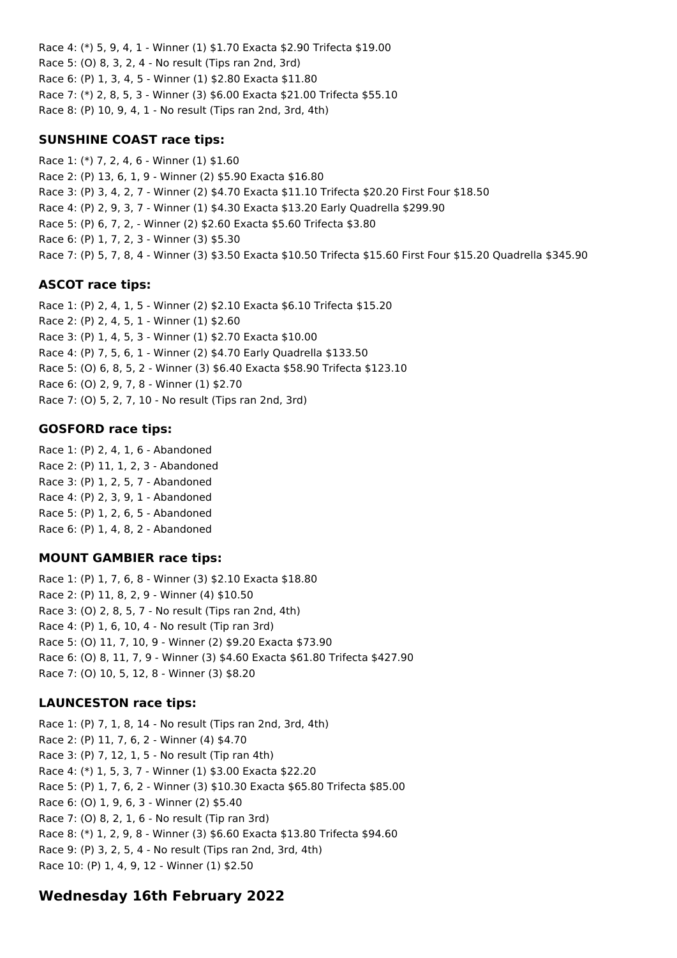Race 4: (\*) 5, 9, 4, 1 - Winner (1) \$1.70 Exacta \$2.90 Trifecta \$19.00 Race 5: (O) 8, 3, 2, 4 - No result (Tips ran 2nd, 3rd) Race 6: (P) 1, 3, 4, 5 - Winner (1) \$2.80 Exacta \$11.80 Race 7: (\*) 2, 8, 5, 3 - Winner (3) \$6.00 Exacta \$21.00 Trifecta \$55.10 Race 8: (P) 10, 9, 4, 1 - No result (Tips ran 2nd, 3rd, 4th)

### **SUNSHINE COAST race tips:**

Race 1: (\*) 7, 2, 4, 6 - Winner (1) \$1.60 Race 2: (P) 13, 6, 1, 9 - Winner (2) \$5.90 Exacta \$16.80 Race 3: (P) 3, 4, 2, 7 - Winner (2) \$4.70 Exacta \$11.10 Trifecta \$20.20 First Four \$18.50 Race 4: (P) 2, 9, 3, 7 - Winner (1) \$4.30 Exacta \$13.20 Early Quadrella \$299.90 Race 5: (P) 6, 7, 2, - Winner (2) \$2.60 Exacta \$5.60 Trifecta \$3.80 Race 6: (P) 1, 7, 2, 3 - Winner (3) \$5.30 Race 7: (P) 5, 7, 8, 4 - Winner (3) \$3.50 Exacta \$10.50 Trifecta \$15.60 First Four \$15.20 Quadrella \$345.90

## **ASCOT race tips:**

Race 1: (P) 2, 4, 1, 5 - Winner (2) \$2.10 Exacta \$6.10 Trifecta \$15.20 Race 2: (P) 2, 4, 5, 1 - Winner (1) \$2.60 Race 3: (P) 1, 4, 5, 3 - Winner (1) \$2.70 Exacta \$10.00 Race 4: (P) 7, 5, 6, 1 - Winner (2) \$4.70 Early Quadrella \$133.50 Race 5: (O) 6, 8, 5, 2 - Winner (3) \$6.40 Exacta \$58.90 Trifecta \$123.10 Race 6: (O) 2, 9, 7, 8 - Winner (1) \$2.70 Race 7: (O) 5, 2, 7, 10 - No result (Tips ran 2nd, 3rd)

#### **GOSFORD race tips:**

Race 1: (P) 2, 4, 1, 6 - Abandoned Race 2: (P) 11, 1, 2, 3 - Abandoned Race 3: (P) 1, 2, 5, 7 - Abandoned Race 4: (P) 2, 3, 9, 1 - Abandoned Race 5: (P) 1, 2, 6, 5 - Abandoned Race 6: (P) 1, 4, 8, 2 - Abandoned

## **MOUNT GAMBIER race tips:**

Race 1: (P) 1, 7, 6, 8 - Winner (3) \$2.10 Exacta \$18.80 Race 2: (P) 11, 8, 2, 9 - Winner (4) \$10.50 Race 3: (O) 2, 8, 5, 7 - No result (Tips ran 2nd, 4th) Race 4: (P) 1, 6, 10, 4 - No result (Tip ran 3rd) Race 5: (O) 11, 7, 10, 9 - Winner (2) \$9.20 Exacta \$73.90 Race 6: (O) 8, 11, 7, 9 - Winner (3) \$4.60 Exacta \$61.80 Trifecta \$427.90 Race 7: (O) 10, 5, 12, 8 - Winner (3) \$8.20

## **LAUNCESTON race tips:**

Race 1: (P) 7, 1, 8, 14 - No result (Tips ran 2nd, 3rd, 4th) Race 2: (P) 11, 7, 6, 2 - Winner (4) \$4.70 Race 3: (P) 7, 12, 1, 5 - No result (Tip ran 4th) Race 4: (\*) 1, 5, 3, 7 - Winner (1) \$3.00 Exacta \$22.20 Race 5: (P) 1, 7, 6, 2 - Winner (3) \$10.30 Exacta \$65.80 Trifecta \$85.00 Race 6: (O) 1, 9, 6, 3 - Winner (2) \$5.40 Race 7: (O) 8, 2, 1, 6 - No result (Tip ran 3rd) Race 8: (\*) 1, 2, 9, 8 - Winner (3) \$6.60 Exacta \$13.80 Trifecta \$94.60 Race 9: (P) 3, 2, 5, 4 - No result (Tips ran 2nd, 3rd, 4th) Race 10: (P) 1, 4, 9, 12 - Winner (1) \$2.50

## **Wednesday 16th February 2022**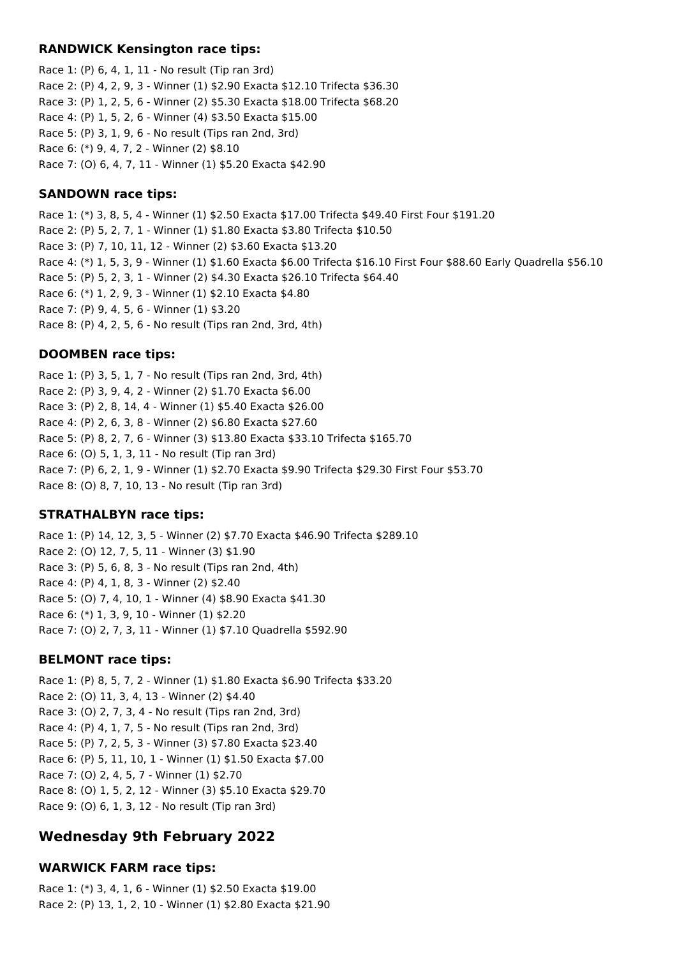#### **RANDWICK Kensington race tips:**

Race 1: (P) 6, 4, 1, 11 - No result (Tip ran 3rd) Race 2: (P) 4, 2, 9, 3 - Winner (1) \$2.90 Exacta \$12.10 Trifecta \$36.30 Race 3: (P) 1, 2, 5, 6 - Winner (2) \$5.30 Exacta \$18.00 Trifecta \$68.20 Race 4: (P) 1, 5, 2, 6 - Winner (4) \$3.50 Exacta \$15.00 Race 5: (P) 3, 1, 9, 6 - No result (Tips ran 2nd, 3rd) Race 6: (\*) 9, 4, 7, 2 - Winner (2) \$8.10 Race 7: (O) 6, 4, 7, 11 - Winner (1) \$5.20 Exacta \$42.90

## **SANDOWN race tips:**

Race 1: (\*) 3, 8, 5, 4 - Winner (1) \$2.50 Exacta \$17.00 Trifecta \$49.40 First Four \$191.20 Race 2: (P) 5, 2, 7, 1 - Winner (1) \$1.80 Exacta \$3.80 Trifecta \$10.50 Race 3: (P) 7, 10, 11, 12 - Winner (2) \$3.60 Exacta \$13.20 Race 4: (\*) 1, 5, 3, 9 - Winner (1) \$1.60 Exacta \$6.00 Trifecta \$16.10 First Four \$88.60 Early Quadrella \$56.10 Race 5: (P) 5, 2, 3, 1 - Winner (2) \$4.30 Exacta \$26.10 Trifecta \$64.40 Race 6: (\*) 1, 2, 9, 3 - Winner (1) \$2.10 Exacta \$4.80 Race 7: (P) 9, 4, 5, 6 - Winner (1) \$3.20 Race 8: (P) 4, 2, 5, 6 - No result (Tips ran 2nd, 3rd, 4th)

## **DOOMBEN race tips:**

Race 1: (P) 3, 5, 1, 7 - No result (Tips ran 2nd, 3rd, 4th) Race 2: (P) 3, 9, 4, 2 - Winner (2) \$1.70 Exacta \$6.00 Race 3: (P) 2, 8, 14, 4 - Winner (1) \$5.40 Exacta \$26.00 Race 4: (P) 2, 6, 3, 8 - Winner (2) \$6.80 Exacta \$27.60 Race 5: (P) 8, 2, 7, 6 - Winner (3) \$13.80 Exacta \$33.10 Trifecta \$165.70 Race 6: (O) 5, 1, 3, 11 - No result (Tip ran 3rd) Race 7: (P) 6, 2, 1, 9 - Winner (1) \$2.70 Exacta \$9.90 Trifecta \$29.30 First Four \$53.70 Race 8: (O) 8, 7, 10, 13 - No result (Tip ran 3rd)

## **STRATHALBYN race tips:**

Race 1: (P) 14, 12, 3, 5 - Winner (2) \$7.70 Exacta \$46.90 Trifecta \$289.10 Race 2: (O) 12, 7, 5, 11 - Winner (3) \$1.90 Race 3: (P) 5, 6, 8, 3 - No result (Tips ran 2nd, 4th) Race 4: (P) 4, 1, 8, 3 - Winner (2) \$2.40 Race 5: (O) 7, 4, 10, 1 - Winner (4) \$8.90 Exacta \$41.30 Race 6: (\*) 1, 3, 9, 10 - Winner (1) \$2.20 Race 7: (O) 2, 7, 3, 11 - Winner (1) \$7.10 Quadrella \$592.90

## **BELMONT race tips:**

Race 1: (P) 8, 5, 7, 2 - Winner (1) \$1.80 Exacta \$6.90 Trifecta \$33.20 Race 2: (O) 11, 3, 4, 13 - Winner (2) \$4.40 Race 3: (O) 2, 7, 3, 4 - No result (Tips ran 2nd, 3rd) Race 4: (P) 4, 1, 7, 5 - No result (Tips ran 2nd, 3rd) Race 5: (P) 7, 2, 5, 3 - Winner (3) \$7.80 Exacta \$23.40 Race 6: (P) 5, 11, 10, 1 - Winner (1) \$1.50 Exacta \$7.00 Race 7: (O) 2, 4, 5, 7 - Winner (1) \$2.70 Race 8: (O) 1, 5, 2, 12 - Winner (3) \$5.10 Exacta \$29.70 Race 9: (O) 6, 1, 3, 12 - No result (Tip ran 3rd)

## **Wednesday 9th February 2022**

## **WARWICK FARM race tips:**

Race 1: (\*) 3, 4, 1, 6 - Winner (1) \$2.50 Exacta \$19.00 Race 2: (P) 13, 1, 2, 10 - Winner (1) \$2.80 Exacta \$21.90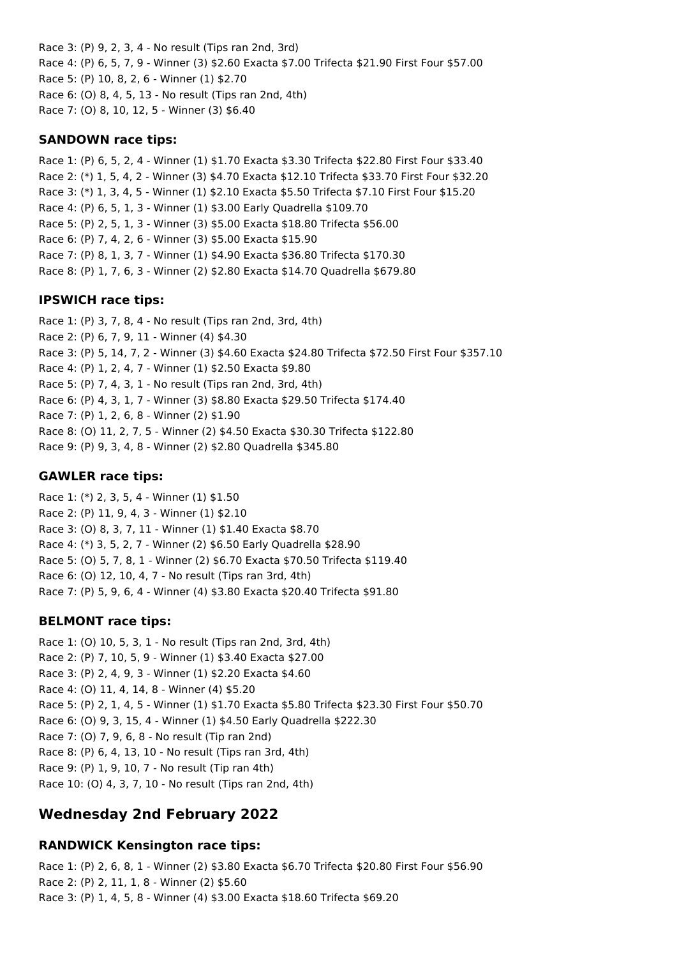Race 3: (P) 9, 2, 3, 4 - No result (Tips ran 2nd, 3rd) Race 4: (P) 6, 5, 7, 9 - Winner (3) \$2.60 Exacta \$7.00 Trifecta \$21.90 First Four \$57.00 Race 5: (P) 10, 8, 2, 6 - Winner (1) \$2.70 Race 6: (O) 8, 4, 5, 13 - No result (Tips ran 2nd, 4th) Race 7: (O) 8, 10, 12, 5 - Winner (3) \$6.40

#### **SANDOWN race tips:**

Race 1: (P) 6, 5, 2, 4 - Winner (1) \$1.70 Exacta \$3.30 Trifecta \$22.80 First Four \$33.40 Race 2: (\*) 1, 5, 4, 2 - Winner (3) \$4.70 Exacta \$12.10 Trifecta \$33.70 First Four \$32.20 Race 3: (\*) 1, 3, 4, 5 - Winner (1) \$2.10 Exacta \$5.50 Trifecta \$7.10 First Four \$15.20 Race 4: (P) 6, 5, 1, 3 - Winner (1) \$3.00 Early Quadrella \$109.70 Race 5: (P) 2, 5, 1, 3 - Winner (3) \$5.00 Exacta \$18.80 Trifecta \$56.00 Race 6: (P) 7, 4, 2, 6 - Winner (3) \$5.00 Exacta \$15.90 Race 7: (P) 8, 1, 3, 7 - Winner (1) \$4.90 Exacta \$36.80 Trifecta \$170.30 Race 8: (P) 1, 7, 6, 3 - Winner (2) \$2.80 Exacta \$14.70 Quadrella \$679.80

## **IPSWICH race tips:**

Race 1: (P) 3, 7, 8, 4 - No result (Tips ran 2nd, 3rd, 4th) Race 2: (P) 6, 7, 9, 11 - Winner (4) \$4.30 Race 3: (P) 5, 14, 7, 2 - Winner (3) \$4.60 Exacta \$24.80 Trifecta \$72.50 First Four \$357.10 Race 4: (P) 1, 2, 4, 7 - Winner (1) \$2.50 Exacta \$9.80 Race 5: (P) 7, 4, 3, 1 - No result (Tips ran 2nd, 3rd, 4th) Race 6: (P) 4, 3, 1, 7 - Winner (3) \$8.80 Exacta \$29.50 Trifecta \$174.40 Race 7: (P) 1, 2, 6, 8 - Winner (2) \$1.90 Race 8: (O) 11, 2, 7, 5 - Winner (2) \$4.50 Exacta \$30.30 Trifecta \$122.80 Race 9: (P) 9, 3, 4, 8 - Winner (2) \$2.80 Quadrella \$345.80

### **GAWLER race tips:**

Race 1: (\*) 2, 3, 5, 4 - Winner (1) \$1.50 Race 2: (P) 11, 9, 4, 3 - Winner (1) \$2.10 Race 3: (O) 8, 3, 7, 11 - Winner (1) \$1.40 Exacta \$8.70 Race 4: (\*) 3, 5, 2, 7 - Winner (2) \$6.50 Early Quadrella \$28.90 Race 5: (O) 5, 7, 8, 1 - Winner (2) \$6.70 Exacta \$70.50 Trifecta \$119.40 Race 6: (O) 12, 10, 4, 7 - No result (Tips ran 3rd, 4th) Race 7: (P) 5, 9, 6, 4 - Winner (4) \$3.80 Exacta \$20.40 Trifecta \$91.80

## **BELMONT race tips:**

Race 1: (O) 10, 5, 3, 1 - No result (Tips ran 2nd, 3rd, 4th) Race 2: (P) 7, 10, 5, 9 - Winner (1) \$3.40 Exacta \$27.00 Race 3: (P) 2, 4, 9, 3 - Winner (1) \$2.20 Exacta \$4.60 Race 4: (O) 11, 4, 14, 8 - Winner (4) \$5.20 Race 5: (P) 2, 1, 4, 5 - Winner (1) \$1.70 Exacta \$5.80 Trifecta \$23.30 First Four \$50.70 Race 6: (O) 9, 3, 15, 4 - Winner (1) \$4.50 Early Quadrella \$222.30 Race 7: (O) 7, 9, 6, 8 - No result (Tip ran 2nd) Race 8: (P) 6, 4, 13, 10 - No result (Tips ran 3rd, 4th) Race 9: (P) 1, 9, 10, 7 - No result (Tip ran 4th) Race 10: (O) 4, 3, 7, 10 - No result (Tips ran 2nd, 4th)

## **Wednesday 2nd February 2022**

## **RANDWICK Kensington race tips:**

Race 1: (P) 2, 6, 8, 1 - Winner (2) \$3.80 Exacta \$6.70 Trifecta \$20.80 First Four \$56.90 Race 2: (P) 2, 11, 1, 8 - Winner (2) \$5.60 Race 3: (P) 1, 4, 5, 8 - Winner (4) \$3.00 Exacta \$18.60 Trifecta \$69.20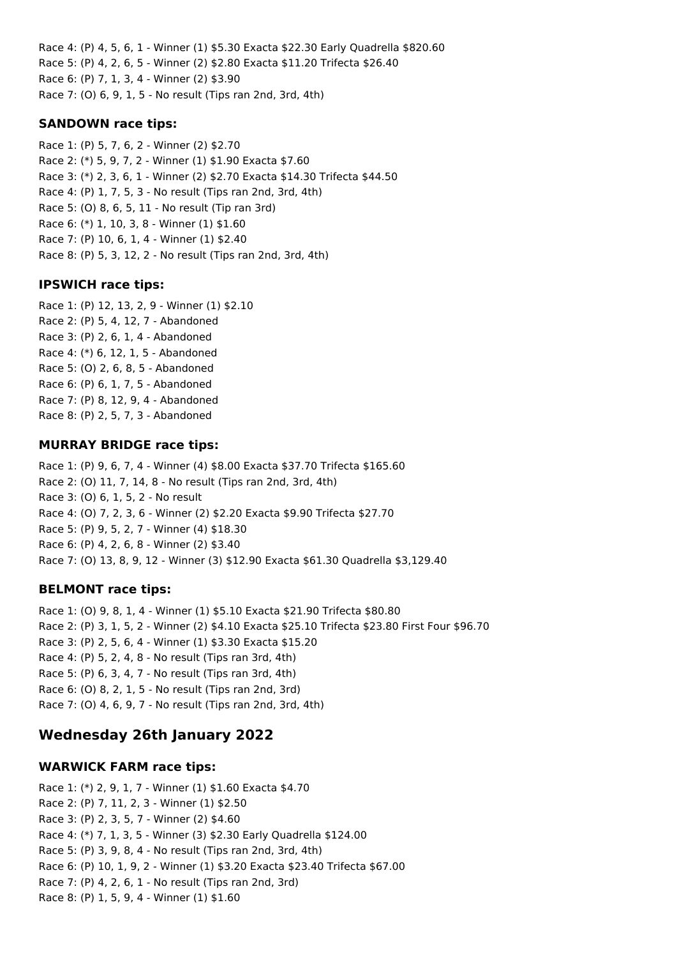Race 4: (P) 4, 5, 6, 1 - Winner (1) \$5.30 Exacta \$22.30 Early Quadrella \$820.60 Race 5: (P) 4, 2, 6, 5 - Winner (2) \$2.80 Exacta \$11.20 Trifecta \$26.40 Race 6: (P) 7, 1, 3, 4 - Winner (2) \$3.90 Race 7: (O) 6, 9, 1, 5 - No result (Tips ran 2nd, 3rd, 4th)

#### **SANDOWN race tips:**

Race 1: (P) 5, 7, 6, 2 - Winner (2) \$2.70 Race 2: (\*) 5, 9, 7, 2 - Winner (1) \$1.90 Exacta \$7.60 Race 3: (\*) 2, 3, 6, 1 - Winner (2) \$2.70 Exacta \$14.30 Trifecta \$44.50 Race 4: (P) 1, 7, 5, 3 - No result (Tips ran 2nd, 3rd, 4th) Race 5: (O) 8, 6, 5, 11 - No result (Tip ran 3rd) Race 6: (\*) 1, 10, 3, 8 - Winner (1) \$1.60 Race 7: (P) 10, 6, 1, 4 - Winner (1) \$2.40 Race 8: (P) 5, 3, 12, 2 - No result (Tips ran 2nd, 3rd, 4th)

#### **IPSWICH race tips:**

Race 1: (P) 12, 13, 2, 9 - Winner (1) \$2.10 Race 2: (P) 5, 4, 12, 7 - Abandoned Race 3: (P) 2, 6, 1, 4 - Abandoned Race 4: (\*) 6, 12, 1, 5 - Abandoned Race 5: (O) 2, 6, 8, 5 - Abandoned Race 6: (P) 6, 1, 7, 5 - Abandoned Race 7: (P) 8, 12, 9, 4 - Abandoned Race 8: (P) 2, 5, 7, 3 - Abandoned

#### **MURRAY BRIDGE race tips:**

Race 1: (P) 9, 6, 7, 4 - Winner (4) \$8.00 Exacta \$37.70 Trifecta \$165.60 Race 2: (O) 11, 7, 14, 8 - No result (Tips ran 2nd, 3rd, 4th) Race 3: (O) 6, 1, 5, 2 - No result Race 4: (O) 7, 2, 3, 6 - Winner (2) \$2.20 Exacta \$9.90 Trifecta \$27.70 Race 5: (P) 9, 5, 2, 7 - Winner (4) \$18.30 Race 6: (P) 4, 2, 6, 8 - Winner (2) \$3.40 Race 7: (O) 13, 8, 9, 12 - Winner (3) \$12.90 Exacta \$61.30 Quadrella \$3,129.40

## **BELMONT race tips:**

Race 1: (O) 9, 8, 1, 4 - Winner (1) \$5.10 Exacta \$21.90 Trifecta \$80.80 Race 2: (P) 3, 1, 5, 2 - Winner (2) \$4.10 Exacta \$25.10 Trifecta \$23.80 First Four \$96.70 Race 3: (P) 2, 5, 6, 4 - Winner (1) \$3.30 Exacta \$15.20 Race 4: (P) 5, 2, 4, 8 - No result (Tips ran 3rd, 4th) Race 5: (P) 6, 3, 4, 7 - No result (Tips ran 3rd, 4th) Race 6: (O) 8, 2, 1, 5 - No result (Tips ran 2nd, 3rd) Race 7: (O) 4, 6, 9, 7 - No result (Tips ran 2nd, 3rd, 4th)

## **Wednesday 26th January 2022**

#### **WARWICK FARM race tips:**

Race 1: (\*) 2, 9, 1, 7 - Winner (1) \$1.60 Exacta \$4.70 Race 2: (P) 7, 11, 2, 3 - Winner (1) \$2.50 Race 3: (P) 2, 3, 5, 7 - Winner (2) \$4.60 Race 4: (\*) 7, 1, 3, 5 - Winner (3) \$2.30 Early Quadrella \$124.00 Race 5: (P) 3, 9, 8, 4 - No result (Tips ran 2nd, 3rd, 4th) Race 6: (P) 10, 1, 9, 2 - Winner (1) \$3.20 Exacta \$23.40 Trifecta \$67.00 Race 7: (P) 4, 2, 6, 1 - No result (Tips ran 2nd, 3rd) Race 8: (P) 1, 5, 9, 4 - Winner (1) \$1.60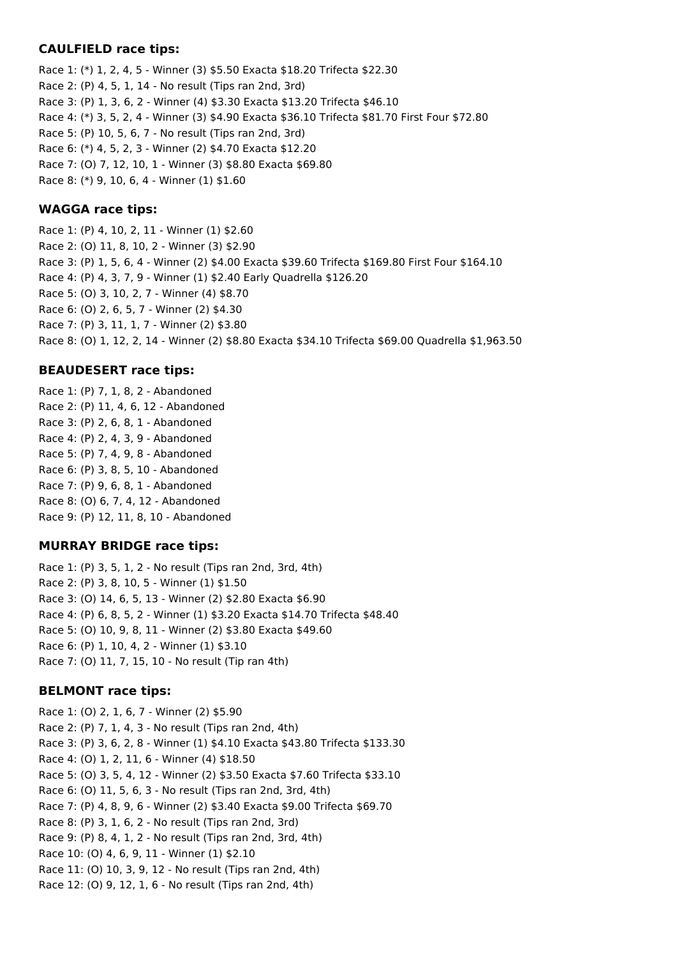#### **CAULFIELD race tips:**

Race 1: (\*) 1, 2, 4, 5 - Winner (3) \$5.50 Exacta \$18.20 Trifecta \$22.30 Race 2: (P) 4, 5, 1, 14 - No result (Tips ran 2nd, 3rd) Race 3: (P) 1, 3, 6, 2 - Winner (4) \$3.30 Exacta \$13.20 Trifecta \$46.10 Race 4: (\*) 3, 5, 2, 4 - Winner (3) \$4.90 Exacta \$36.10 Trifecta \$81.70 First Four \$72.80 Race 5: (P) 10, 5, 6, 7 - No result (Tips ran 2nd, 3rd) Race 6: (\*) 4, 5, 2, 3 - Winner (2) \$4.70 Exacta \$12.20 Race 7: (O) 7, 12, 10, 1 - Winner (3) \$8.80 Exacta \$69.80 Race 8: (\*) 9, 10, 6, 4 - Winner (1) \$1.60

## **WAGGA race tips:**

Race 1: (P) 4, 10, 2, 11 - Winner (1) \$2.60 Race 2: (O) 11, 8, 10, 2 - Winner (3) \$2.90 Race 3: (P) 1, 5, 6, 4 - Winner (2) \$4.00 Exacta \$39.60 Trifecta \$169.80 First Four \$164.10 Race 4: (P) 4, 3, 7, 9 - Winner (1) \$2.40 Early Quadrella \$126.20 Race 5: (O) 3, 10, 2, 7 - Winner (4) \$8.70 Race 6: (O) 2, 6, 5, 7 - Winner (2) \$4.30 Race 7: (P) 3, 11, 1, 7 - Winner (2) \$3.80 Race 8: (O) 1, 12, 2, 14 - Winner (2) \$8.80 Exacta \$34.10 Trifecta \$69.00 Quadrella \$1,963.50

#### **BEAUDESERT race tips:**

Race 1: (P) 7, 1, 8, 2 - Abandoned Race 2: (P) 11, 4, 6, 12 - Abandoned Race 3: (P) 2, 6, 8, 1 - Abandoned Race 4: (P) 2, 4, 3, 9 - Abandoned Race 5: (P) 7, 4, 9, 8 - Abandoned Race 6: (P) 3, 8, 5, 10 - Abandoned Race 7: (P) 9, 6, 8, 1 - Abandoned Race 8: (O) 6, 7, 4, 12 - Abandoned Race 9: (P) 12, 11, 8, 10 - Abandoned

## **MURRAY BRIDGE race tips:**

Race 1: (P) 3, 5, 1, 2 - No result (Tips ran 2nd, 3rd, 4th) Race 2: (P) 3, 8, 10, 5 - Winner (1) \$1.50 Race 3: (O) 14, 6, 5, 13 - Winner (2) \$2.80 Exacta \$6.90 Race 4: (P) 6, 8, 5, 2 - Winner (1) \$3.20 Exacta \$14.70 Trifecta \$48.40 Race 5: (O) 10, 9, 8, 11 - Winner (2) \$3.80 Exacta \$49.60 Race 6: (P) 1, 10, 4, 2 - Winner (1) \$3.10 Race 7: (O) 11, 7, 15, 10 - No result (Tip ran 4th)

#### **BELMONT race tips:**

Race 1: (O) 2, 1, 6, 7 - Winner (2) \$5.90 Race 2: (P) 7, 1, 4, 3 - No result (Tips ran 2nd, 4th) Race 3: (P) 3, 6, 2, 8 - Winner (1) \$4.10 Exacta \$43.80 Trifecta \$133.30 Race 4: (O) 1, 2, 11, 6 - Winner (4) \$18.50 Race 5: (O) 3, 5, 4, 12 - Winner (2) \$3.50 Exacta \$7.60 Trifecta \$33.10 Race 6: (O) 11, 5, 6, 3 - No result (Tips ran 2nd, 3rd, 4th) Race 7: (P) 4, 8, 9, 6 - Winner (2) \$3.40 Exacta \$9.00 Trifecta \$69.70 Race 8: (P) 3, 1, 6, 2 - No result (Tips ran 2nd, 3rd) Race 9: (P) 8, 4, 1, 2 - No result (Tips ran 2nd, 3rd, 4th) Race 10: (O) 4, 6, 9, 11 - Winner (1) \$2.10 Race 11: (O) 10, 3, 9, 12 - No result (Tips ran 2nd, 4th) Race 12: (O) 9, 12, 1, 6 - No result (Tips ran 2nd, 4th)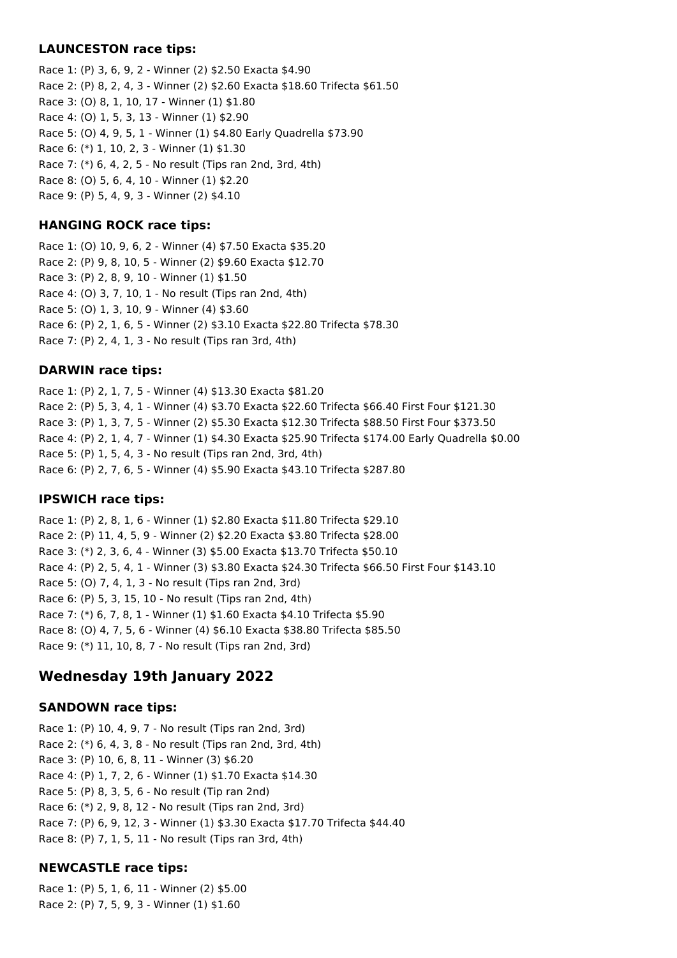### **LAUNCESTON race tips:**

Race 1: (P) 3, 6, 9, 2 - Winner (2) \$2.50 Exacta \$4.90 Race 2: (P) 8, 2, 4, 3 - Winner (2) \$2.60 Exacta \$18.60 Trifecta \$61.50 Race 3: (O) 8, 1, 10, 17 - Winner (1) \$1.80 Race 4: (O) 1, 5, 3, 13 - Winner (1) \$2.90 Race 5: (O) 4, 9, 5, 1 - Winner (1) \$4.80 Early Quadrella \$73.90 Race 6: (\*) 1, 10, 2, 3 - Winner (1) \$1.30 Race 7: (\*) 6, 4, 2, 5 - No result (Tips ran 2nd, 3rd, 4th) Race 8: (O) 5, 6, 4, 10 - Winner (1) \$2.20 Race 9: (P) 5, 4, 9, 3 - Winner (2) \$4.10

## **HANGING ROCK race tips:**

Race 1: (O) 10, 9, 6, 2 - Winner (4) \$7.50 Exacta \$35.20 Race 2: (P) 9, 8, 10, 5 - Winner (2) \$9.60 Exacta \$12.70 Race 3: (P) 2, 8, 9, 10 - Winner (1) \$1.50 Race 4: (O) 3, 7, 10, 1 - No result (Tips ran 2nd, 4th) Race 5: (O) 1, 3, 10, 9 - Winner (4) \$3.60 Race 6: (P) 2, 1, 6, 5 - Winner (2) \$3.10 Exacta \$22.80 Trifecta \$78.30 Race 7: (P) 2, 4, 1, 3 - No result (Tips ran 3rd, 4th)

## **DARWIN race tips:**

Race 1: (P) 2, 1, 7, 5 - Winner (4) \$13.30 Exacta \$81.20 Race 2: (P) 5, 3, 4, 1 - Winner (4) \$3.70 Exacta \$22.60 Trifecta \$66.40 First Four \$121.30 Race 3: (P) 1, 3, 7, 5 - Winner (2) \$5.30 Exacta \$12.30 Trifecta \$88.50 First Four \$373.50 Race 4: (P) 2, 1, 4, 7 - Winner (1) \$4.30 Exacta \$25.90 Trifecta \$174.00 Early Quadrella \$0.00 Race 5: (P) 1, 5, 4, 3 - No result (Tips ran 2nd, 3rd, 4th) Race 6: (P) 2, 7, 6, 5 - Winner (4) \$5.90 Exacta \$43.10 Trifecta \$287.80

## **IPSWICH race tips:**

Race 1: (P) 2, 8, 1, 6 - Winner (1) \$2.80 Exacta \$11.80 Trifecta \$29.10 Race 2: (P) 11, 4, 5, 9 - Winner (2) \$2.20 Exacta \$3.80 Trifecta \$28.00 Race 3: (\*) 2, 3, 6, 4 - Winner (3) \$5.00 Exacta \$13.70 Trifecta \$50.10 Race 4: (P) 2, 5, 4, 1 - Winner (3) \$3.80 Exacta \$24.30 Trifecta \$66.50 First Four \$143.10 Race 5: (O) 7, 4, 1, 3 - No result (Tips ran 2nd, 3rd) Race 6: (P) 5, 3, 15, 10 - No result (Tips ran 2nd, 4th) Race 7: (\*) 6, 7, 8, 1 - Winner (1) \$1.60 Exacta \$4.10 Trifecta \$5.90 Race 8: (O) 4, 7, 5, 6 - Winner (4) \$6.10 Exacta \$38.80 Trifecta \$85.50 Race 9: (\*) 11, 10, 8, 7 - No result (Tips ran 2nd, 3rd)

## **Wednesday 19th January 2022**

## **SANDOWN race tips:**

Race 1: (P) 10, 4, 9, 7 - No result (Tips ran 2nd, 3rd) Race 2: (\*) 6, 4, 3, 8 - No result (Tips ran 2nd, 3rd, 4th) Race 3: (P) 10, 6, 8, 11 - Winner (3) \$6.20 Race 4: (P) 1, 7, 2, 6 - Winner (1) \$1.70 Exacta \$14.30 Race 5: (P) 8, 3, 5, 6 - No result (Tip ran 2nd) Race 6: (\*) 2, 9, 8, 12 - No result (Tips ran 2nd, 3rd) Race 7: (P) 6, 9, 12, 3 - Winner (1) \$3.30 Exacta \$17.70 Trifecta \$44.40 Race 8: (P) 7, 1, 5, 11 - No result (Tips ran 3rd, 4th)

## **NEWCASTLE race tips:**

Race 1: (P) 5, 1, 6, 11 - Winner (2) \$5.00 Race 2: (P) 7, 5, 9, 3 - Winner (1) \$1.60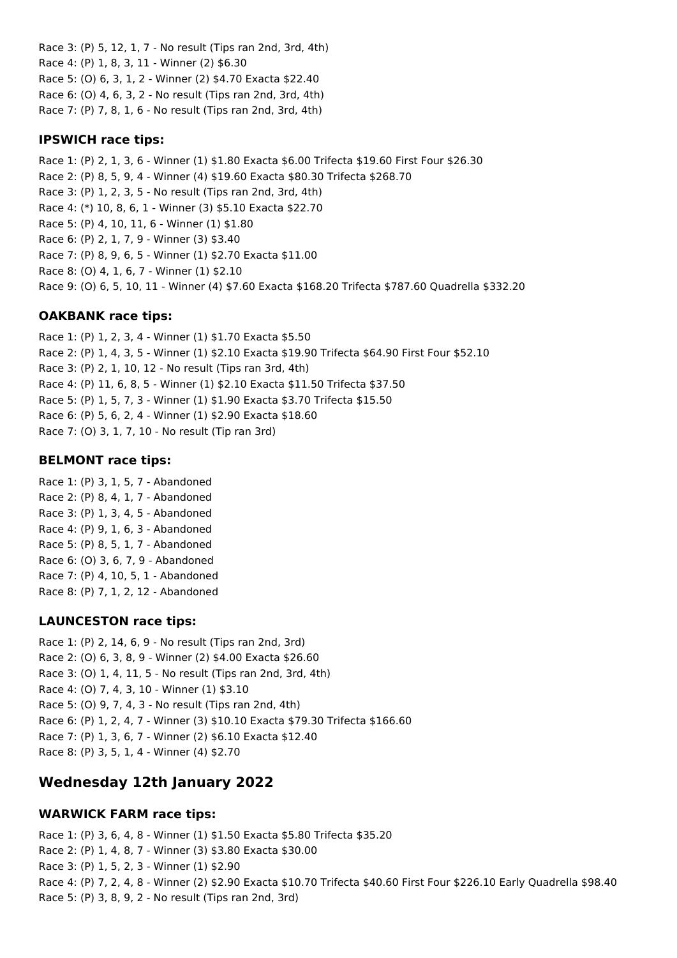Race 3: (P) 5, 12, 1, 7 - No result (Tips ran 2nd, 3rd, 4th) Race 4: (P) 1, 8, 3, 11 - Winner (2) \$6.30 Race 5: (O) 6, 3, 1, 2 - Winner (2) \$4.70 Exacta \$22.40 Race 6: (O) 4, 6, 3, 2 - No result (Tips ran 2nd, 3rd, 4th) Race 7: (P) 7, 8, 1, 6 - No result (Tips ran 2nd, 3rd, 4th)

#### **IPSWICH race tips:**

Race 1: (P) 2, 1, 3, 6 - Winner (1) \$1.80 Exacta \$6.00 Trifecta \$19.60 First Four \$26.30 Race 2: (P) 8, 5, 9, 4 - Winner (4) \$19.60 Exacta \$80.30 Trifecta \$268.70 Race 3: (P) 1, 2, 3, 5 - No result (Tips ran 2nd, 3rd, 4th) Race 4: (\*) 10, 8, 6, 1 - Winner (3) \$5.10 Exacta \$22.70 Race 5: (P) 4, 10, 11, 6 - Winner (1) \$1.80 Race 6: (P) 2, 1, 7, 9 - Winner (3) \$3.40 Race 7: (P) 8, 9, 6, 5 - Winner (1) \$2.70 Exacta \$11.00 Race 8: (O) 4, 1, 6, 7 - Winner (1) \$2.10 Race 9: (O) 6, 5, 10, 11 - Winner (4) \$7.60 Exacta \$168.20 Trifecta \$787.60 Quadrella \$332.20

## **OAKBANK race tips:**

Race 1: (P) 1, 2, 3, 4 - Winner (1) \$1.70 Exacta \$5.50 Race 2: (P) 1, 4, 3, 5 - Winner (1) \$2.10 Exacta \$19.90 Trifecta \$64.90 First Four \$52.10 Race 3: (P) 2, 1, 10, 12 - No result (Tips ran 3rd, 4th) Race 4: (P) 11, 6, 8, 5 - Winner (1) \$2.10 Exacta \$11.50 Trifecta \$37.50 Race 5: (P) 1, 5, 7, 3 - Winner (1) \$1.90 Exacta \$3.70 Trifecta \$15.50 Race 6: (P) 5, 6, 2, 4 - Winner (1) \$2.90 Exacta \$18.60 Race 7: (O) 3, 1, 7, 10 - No result (Tip ran 3rd)

#### **BELMONT race tips:**

Race 1: (P) 3, 1, 5, 7 - Abandoned Race 2: (P) 8, 4, 1, 7 - Abandoned Race 3: (P) 1, 3, 4, 5 - Abandoned Race 4: (P) 9, 1, 6, 3 - Abandoned Race 5: (P) 8, 5, 1, 7 - Abandoned Race 6: (O) 3, 6, 7, 9 - Abandoned Race 7: (P) 4, 10, 5, 1 - Abandoned Race 8: (P) 7, 1, 2, 12 - Abandoned

## **LAUNCESTON race tips:**

Race 1: (P) 2, 14, 6, 9 - No result (Tips ran 2nd, 3rd) Race 2: (O) 6, 3, 8, 9 - Winner (2) \$4.00 Exacta \$26.60 Race 3: (O) 1, 4, 11, 5 - No result (Tips ran 2nd, 3rd, 4th) Race 4: (O) 7, 4, 3, 10 - Winner (1) \$3.10 Race 5: (O) 9, 7, 4, 3 - No result (Tips ran 2nd, 4th) Race 6: (P) 1, 2, 4, 7 - Winner (3) \$10.10 Exacta \$79.30 Trifecta \$166.60 Race 7: (P) 1, 3, 6, 7 - Winner (2) \$6.10 Exacta \$12.40 Race 8: (P) 3, 5, 1, 4 - Winner (4) \$2.70

## **Wednesday 12th January 2022**

#### **WARWICK FARM race tips:**

Race 1: (P) 3, 6, 4, 8 - Winner (1) \$1.50 Exacta \$5.80 Trifecta \$35.20 Race 2: (P) 1, 4, 8, 7 - Winner (3) \$3.80 Exacta \$30.00 Race 3: (P) 1, 5, 2, 3 - Winner (1) \$2.90 Race 4: (P) 7, 2, 4, 8 - Winner (2) \$2.90 Exacta \$10.70 Trifecta \$40.60 First Four \$226.10 Early Quadrella \$98.40 Race 5: (P) 3, 8, 9, 2 - No result (Tips ran 2nd, 3rd)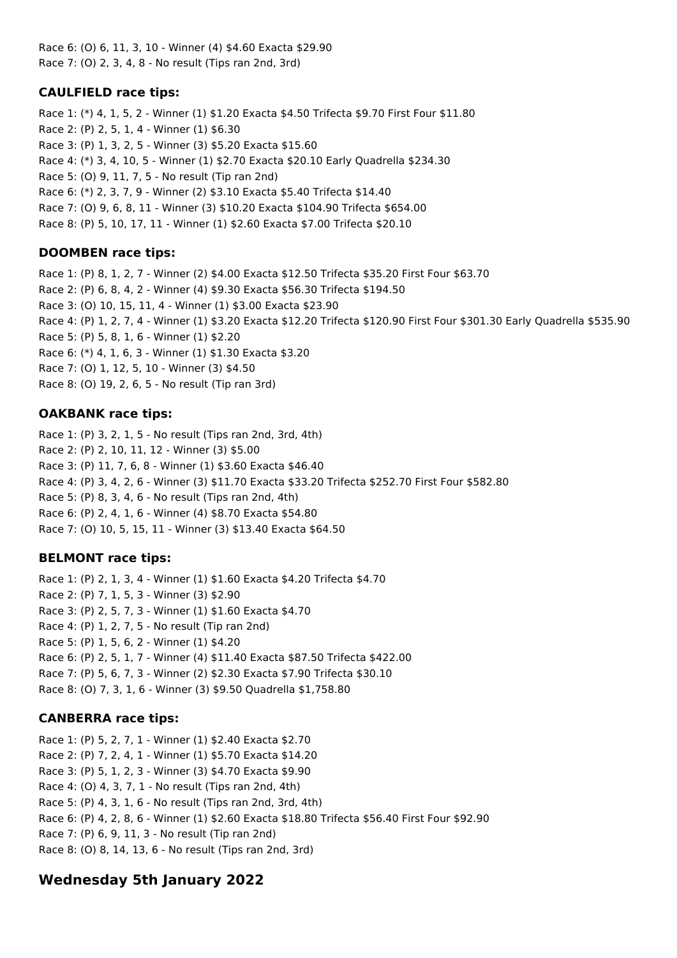Race 6: (O) 6, 11, 3, 10 - Winner (4) \$4.60 Exacta \$29.90 Race 7: (O) 2, 3, 4, 8 - No result (Tips ran 2nd, 3rd)

## **CAULFIELD race tips:**

Race 1: (\*) 4, 1, 5, 2 - Winner (1) \$1.20 Exacta \$4.50 Trifecta \$9.70 First Four \$11.80 Race 2: (P) 2, 5, 1, 4 - Winner (1) \$6.30 Race 3: (P) 1, 3, 2, 5 - Winner (3) \$5.20 Exacta \$15.60 Race 4: (\*) 3, 4, 10, 5 - Winner (1) \$2.70 Exacta \$20.10 Early Quadrella \$234.30 Race 5: (O) 9, 11, 7, 5 - No result (Tip ran 2nd) Race 6: (\*) 2, 3, 7, 9 - Winner (2) \$3.10 Exacta \$5.40 Trifecta \$14.40 Race 7: (O) 9, 6, 8, 11 - Winner (3) \$10.20 Exacta \$104.90 Trifecta \$654.00 Race 8: (P) 5, 10, 17, 11 - Winner (1) \$2.60 Exacta \$7.00 Trifecta \$20.10

## **DOOMBEN race tips:**

Race 1: (P) 8, 1, 2, 7 - Winner (2) \$4.00 Exacta \$12.50 Trifecta \$35.20 First Four \$63.70 Race 2: (P) 6, 8, 4, 2 - Winner (4) \$9.30 Exacta \$56.30 Trifecta \$194.50 Race 3: (O) 10, 15, 11, 4 - Winner (1) \$3.00 Exacta \$23.90 Race 4: (P) 1, 2, 7, 4 - Winner (1) \$3.20 Exacta \$12.20 Trifecta \$120.90 First Four \$301.30 Early Quadrella \$535.90 Race 5: (P) 5, 8, 1, 6 - Winner (1) \$2.20 Race 6: (\*) 4, 1, 6, 3 - Winner (1) \$1.30 Exacta \$3.20 Race 7: (O) 1, 12, 5, 10 - Winner (3) \$4.50 Race 8: (O) 19, 2, 6, 5 - No result (Tip ran 3rd)

## **OAKBANK race tips:**

Race 1: (P) 3, 2, 1, 5 - No result (Tips ran 2nd, 3rd, 4th) Race 2: (P) 2, 10, 11, 12 - Winner (3) \$5.00 Race 3: (P) 11, 7, 6, 8 - Winner (1) \$3.60 Exacta \$46.40 Race 4: (P) 3, 4, 2, 6 - Winner (3) \$11.70 Exacta \$33.20 Trifecta \$252.70 First Four \$582.80 Race 5: (P) 8, 3, 4, 6 - No result (Tips ran 2nd, 4th) Race 6: (P) 2, 4, 1, 6 - Winner (4) \$8.70 Exacta \$54.80 Race 7: (O) 10, 5, 15, 11 - Winner (3) \$13.40 Exacta \$64.50

## **BELMONT race tips:**

Race 1: (P) 2, 1, 3, 4 - Winner (1) \$1.60 Exacta \$4.20 Trifecta \$4.70 Race 2: (P) 7, 1, 5, 3 - Winner (3) \$2.90 Race 3: (P) 2, 5, 7, 3 - Winner (1) \$1.60 Exacta \$4.70 Race 4: (P) 1, 2, 7, 5 - No result (Tip ran 2nd) Race 5: (P) 1, 5, 6, 2 - Winner (1) \$4.20 Race 6: (P) 2, 5, 1, 7 - Winner (4) \$11.40 Exacta \$87.50 Trifecta \$422.00 Race 7: (P) 5, 6, 7, 3 - Winner (2) \$2.30 Exacta \$7.90 Trifecta \$30.10 Race 8: (O) 7, 3, 1, 6 - Winner (3) \$9.50 Quadrella \$1,758.80

## **CANBERRA race tips:**

Race 1: (P) 5, 2, 7, 1 - Winner (1) \$2.40 Exacta \$2.70 Race 2: (P) 7, 2, 4, 1 - Winner (1) \$5.70 Exacta \$14.20 Race 3: (P) 5, 1, 2, 3 - Winner (3) \$4.70 Exacta \$9.90 Race 4: (O) 4, 3, 7, 1 - No result (Tips ran 2nd, 4th) Race 5: (P) 4, 3, 1, 6 - No result (Tips ran 2nd, 3rd, 4th) Race 6: (P) 4, 2, 8, 6 - Winner (1) \$2.60 Exacta \$18.80 Trifecta \$56.40 First Four \$92.90 Race 7: (P) 6, 9, 11, 3 - No result (Tip ran 2nd) Race 8: (O) 8, 14, 13, 6 - No result (Tips ran 2nd, 3rd)

# **Wednesday 5th January 2022**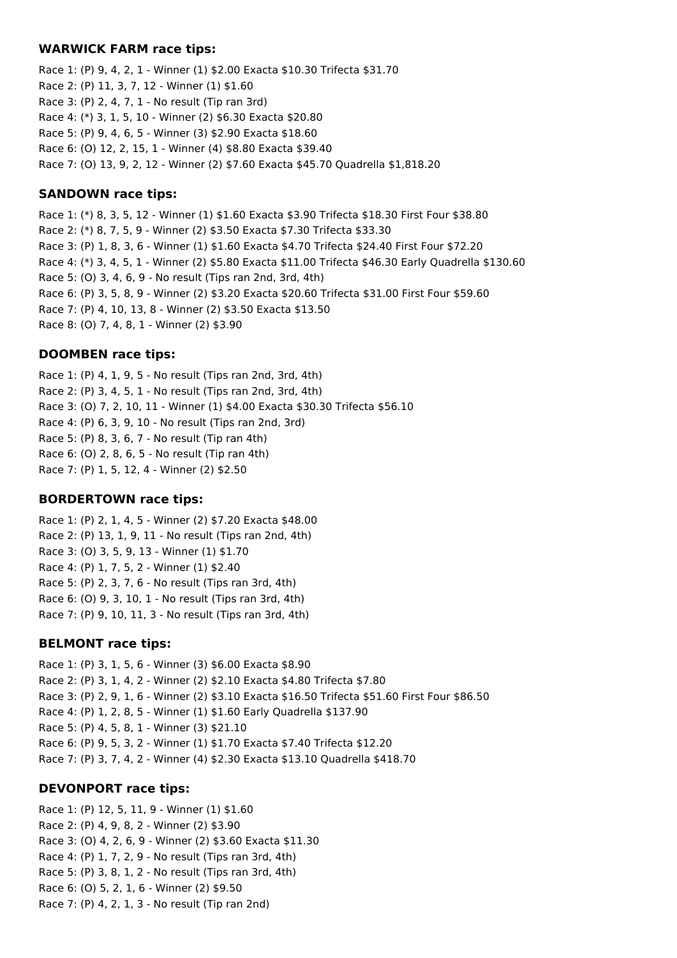#### **WARWICK FARM race tips:**

Race 1: (P) 9, 4, 2, 1 - Winner (1) \$2.00 Exacta \$10.30 Trifecta \$31.70 Race 2: (P) 11, 3, 7, 12 - Winner (1) \$1.60 Race 3: (P) 2, 4, 7, 1 - No result (Tip ran 3rd) Race 4: (\*) 3, 1, 5, 10 - Winner (2) \$6.30 Exacta \$20.80 Race 5: (P) 9, 4, 6, 5 - Winner (3) \$2.90 Exacta \$18.60 Race 6: (O) 12, 2, 15, 1 - Winner (4) \$8.80 Exacta \$39.40 Race 7: (O) 13, 9, 2, 12 - Winner (2) \$7.60 Exacta \$45.70 Quadrella \$1,818.20

### **SANDOWN race tips:**

Race 1: (\*) 8, 3, 5, 12 - Winner (1) \$1.60 Exacta \$3.90 Trifecta \$18.30 First Four \$38.80 Race 2: (\*) 8, 7, 5, 9 - Winner (2) \$3.50 Exacta \$7.30 Trifecta \$33.30 Race 3: (P) 1, 8, 3, 6 - Winner (1) \$1.60 Exacta \$4.70 Trifecta \$24.40 First Four \$72.20 Race 4: (\*) 3, 4, 5, 1 - Winner (2) \$5.80 Exacta \$11.00 Trifecta \$46.30 Early Quadrella \$130.60 Race 5: (O) 3, 4, 6, 9 - No result (Tips ran 2nd, 3rd, 4th) Race 6: (P) 3, 5, 8, 9 - Winner (2) \$3.20 Exacta \$20.60 Trifecta \$31.00 First Four \$59.60 Race 7: (P) 4, 10, 13, 8 - Winner (2) \$3.50 Exacta \$13.50 Race 8: (O) 7, 4, 8, 1 - Winner (2) \$3.90

#### **DOOMBEN race tips:**

Race 1: (P) 4, 1, 9, 5 - No result (Tips ran 2nd, 3rd, 4th) Race 2: (P) 3, 4, 5, 1 - No result (Tips ran 2nd, 3rd, 4th) Race 3: (O) 7, 2, 10, 11 - Winner (1) \$4.00 Exacta \$30.30 Trifecta \$56.10 Race 4: (P) 6, 3, 9, 10 - No result (Tips ran 2nd, 3rd) Race 5: (P) 8, 3, 6, 7 - No result (Tip ran 4th) Race 6: (O) 2, 8, 6, 5 - No result (Tip ran 4th) Race 7: (P) 1, 5, 12, 4 - Winner (2) \$2.50

#### **BORDERTOWN race tips:**

Race 1: (P) 2, 1, 4, 5 - Winner (2) \$7.20 Exacta \$48.00 Race 2: (P) 13, 1, 9, 11 - No result (Tips ran 2nd, 4th) Race 3: (O) 3, 5, 9, 13 - Winner (1) \$1.70 Race 4: (P) 1, 7, 5, 2 - Winner (1) \$2.40 Race 5: (P) 2, 3, 7, 6 - No result (Tips ran 3rd, 4th) Race 6: (O) 9, 3, 10, 1 - No result (Tips ran 3rd, 4th) Race 7: (P) 9, 10, 11, 3 - No result (Tips ran 3rd, 4th)

## **BELMONT race tips:**

Race 1: (P) 3, 1, 5, 6 - Winner (3) \$6.00 Exacta \$8.90 Race 2: (P) 3, 1, 4, 2 - Winner (2) \$2.10 Exacta \$4.80 Trifecta \$7.80 Race 3: (P) 2, 9, 1, 6 - Winner (2) \$3.10 Exacta \$16.50 Trifecta \$51.60 First Four \$86.50 Race 4: (P) 1, 2, 8, 5 - Winner (1) \$1.60 Early Quadrella \$137.90 Race 5: (P) 4, 5, 8, 1 - Winner (3) \$21.10 Race 6: (P) 9, 5, 3, 2 - Winner (1) \$1.70 Exacta \$7.40 Trifecta \$12.20 Race 7: (P) 3, 7, 4, 2 - Winner (4) \$2.30 Exacta \$13.10 Quadrella \$418.70

#### **DEVONPORT race tips:**

Race 1: (P) 12, 5, 11, 9 - Winner (1) \$1.60 Race 2: (P) 4, 9, 8, 2 - Winner (2) \$3.90 Race 3: (O) 4, 2, 6, 9 - Winner (2) \$3.60 Exacta \$11.30 Race 4: (P) 1, 7, 2, 9 - No result (Tips ran 3rd, 4th) Race 5: (P) 3, 8, 1, 2 - No result (Tips ran 3rd, 4th) Race 6: (O) 5, 2, 1, 6 - Winner (2) \$9.50 Race 7: (P) 4, 2, 1, 3 - No result (Tip ran 2nd)